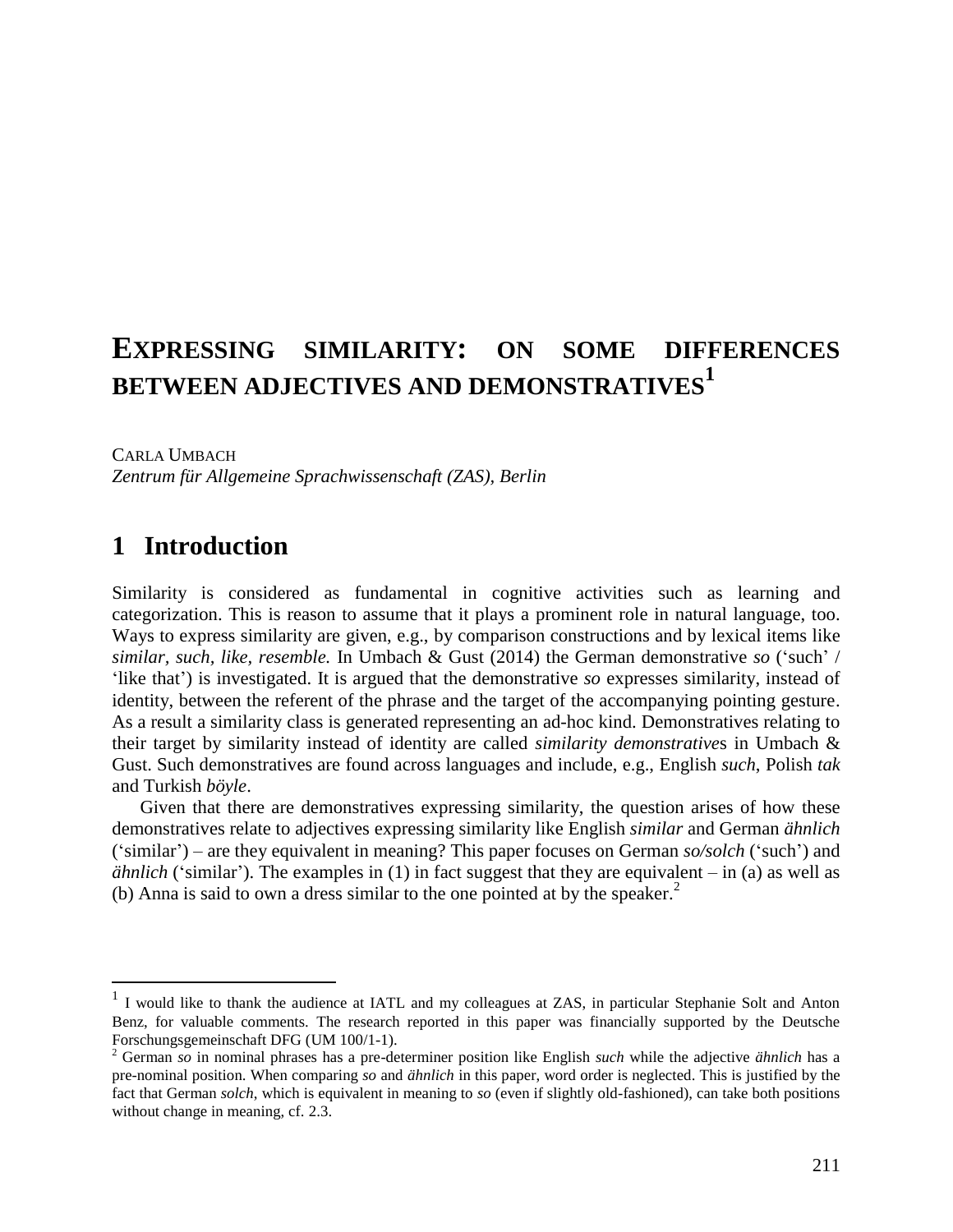# **EXPRESSING SIMILARITY: ON SOME DIFFERENCES BETWEEN ADJECTIVES AND DEMONSTRATIVES<sup>1</sup>**

CARLA UMBACH

 $\overline{a}$ 

*Zentrum für Allgemeine Sprachwissenschaft (ZAS), Berlin*

## **1** Introduction

Similarity is considered as fundamental in cognitive activities such as learning and categorization. This is reason to assume that it plays a prominent role in natural language, too. Ways to express similarity are given, e.g., by comparison constructions and by lexical items like *similar, such, like, resemble.* In Umbach & Gust (2014) the German demonstrative *so* ('such' / 'like that') is investigated. It is argued that the demonstrative *so* expresses similarity, instead of identity, between the referent of the phrase and the target of the accompanying pointing gesture. As a result a similarity class is generated representing an ad-hoc kind. Demonstratives relating to their target by similarity instead of identity are called *similarity demonstrative*s in Umbach & Gust. Such demonstratives are found across languages and include, e.g., English *such*, Polish *tak* and Turkish *böyle*.

Given that there are demonstratives expressing similarity, the question arises of how these demonstratives relate to adjectives expressing similarity like English *similar* and German *ähnlich* ('similar') – are they equivalent in meaning? This paper focuses on German *so/solch* ('such') and *ähnlich* ('similar'). The examples in (1) in fact suggest that they are equivalent – in (a) as well as (b) Anna is said to own a dress similar to the one pointed at by the speaker.<sup>2</sup>

<sup>&</sup>lt;sup>1</sup> I would like to thank the audience at IATL and my colleagues at ZAS, in particular Stephanie Solt and Anton Benz, for valuable comments. The research reported in this paper was financially supported by the Deutsche Forschungsgemeinschaft DFG (UM 100/1-1).

<sup>2</sup> German *so* in nominal phrases has a pre-determiner position like English *such* while the adjective *ähnlich* has a pre-nominal position. When comparing *so* and *ähnlich* in this paper, word order is neglected. This is justified by the fact that German *solch*, which is equivalent in meaning to *so* (even if slightly old-fashioned), can take both positions without change in meaning, cf. 2.3.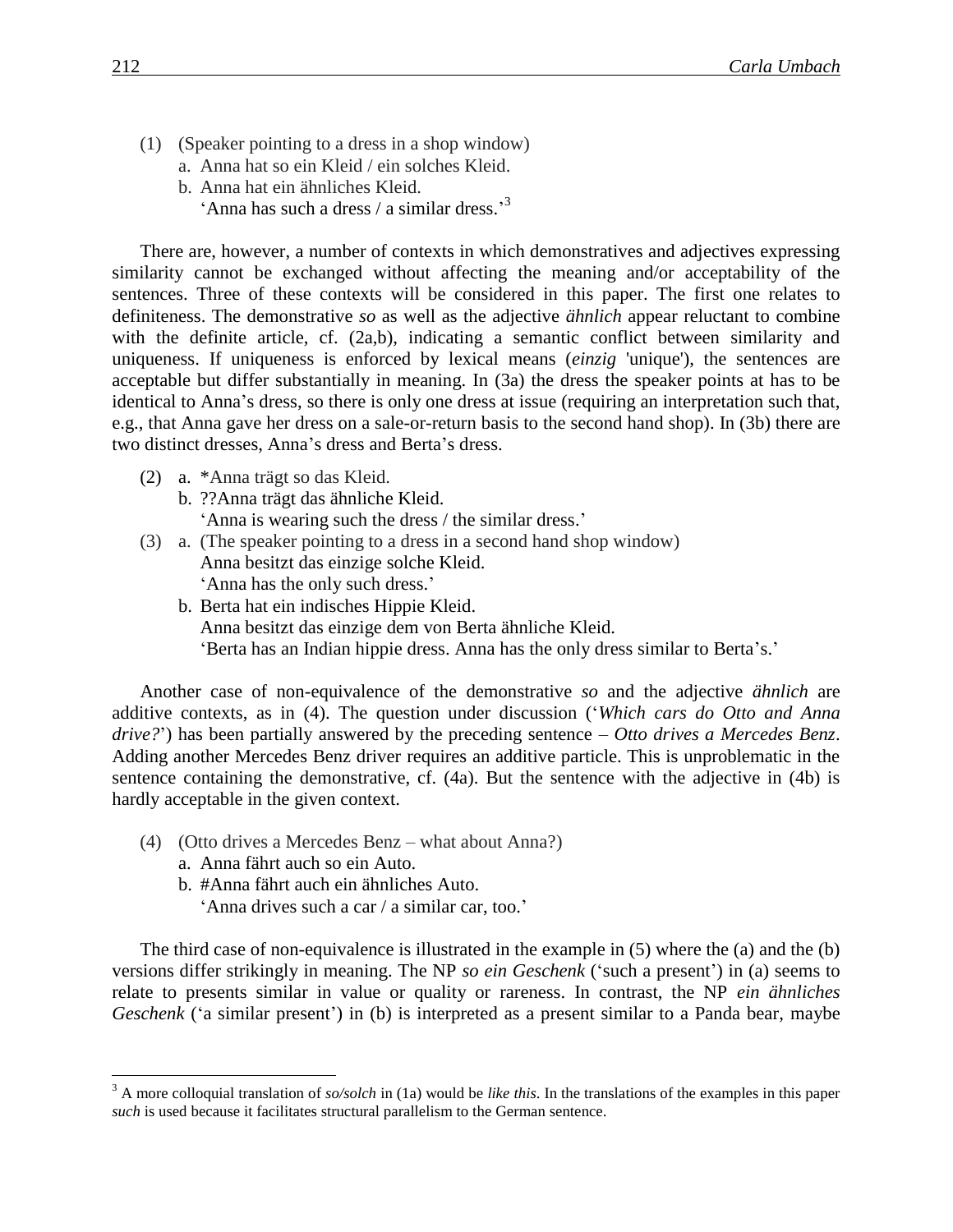- (1) (Speaker pointing to a dress in a shop window)
	- a. Anna hat so ein Kleid / ein solches Kleid.
	- b. Anna hat ein ähnliches Kleid.
		- 'Anna has such a dress / a similar dress.'<sup>3</sup>

There are, however, a number of contexts in which demonstratives and adjectives expressing similarity cannot be exchanged without affecting the meaning and/or acceptability of the sentences. Three of these contexts will be considered in this paper. The first one relates to definiteness. The demonstrative *so* as well as the adjective *ähnlich* appear reluctant to combine with the definite article, cf. (2a,b), indicating a semantic conflict between similarity and uniqueness. If uniqueness is enforced by lexical means (*einzig* 'unique'), the sentences are acceptable but differ substantially in meaning. In (3a) the dress the speaker points at has to be identical to Anna's dress, so there is only one dress at issue (requiring an interpretation such that, e.g., that Anna gave her dress on a sale-or-return basis to the second hand shop). In (3b) there are two distinct dresses, Anna's dress and Berta's dress.

- (2) a. \*Anna trägt so das Kleid.
	- b. ??Anna trägt das ähnliche Kleid. 'Anna is wearing such the dress / the similar dress.'
- (3) a. (The speaker pointing to a dress in a second hand shop window) Anna besitzt das einzige solche Kleid. 'Anna has the only such dress.'
	- b. Berta hat ein indisches Hippie Kleid. Anna besitzt das einzige dem von Berta ähnliche Kleid. 'Berta has an Indian hippie dress. Anna has the only dress similar to Berta's.'

Another case of non-equivalence of the demonstrative *so* and the adjective *ähnlich* are additive contexts, as in (4). The question under discussion ('*Which cars do Otto and Anna drive?*') has been partially answered by the preceding sentence – *Otto drives a Mercedes Benz*. Adding another Mercedes Benz driver requires an additive particle. This is unproblematic in the sentence containing the demonstrative, cf. (4a). But the sentence with the adjective in (4b) is hardly acceptable in the given context.

- (4) (Otto drives a Mercedes Benz what about Anna?) a. Anna fährt auch so ein Auto.
	- b. #Anna fährt auch ein ähnliches Auto.
		- 'Anna drives such a car / a similar car, too.'

The third case of non-equivalence is illustrated in the example in (5) where the (a) and the (b) versions differ strikingly in meaning. The NP *so ein Geschenk* ('such a present') in (a) seems to relate to presents similar in value or quality or rareness. In contrast, the NP *ein ähnliches Geschenk* ('a similar present') in (b) is interpreted as a present similar to a Panda bear, maybe

 $\overline{a}$ 

<sup>3</sup> A more colloquial translation of *so/solch* in (1a) would be *like this*. In the translations of the examples in this paper *such* is used because it facilitates structural parallelism to the German sentence.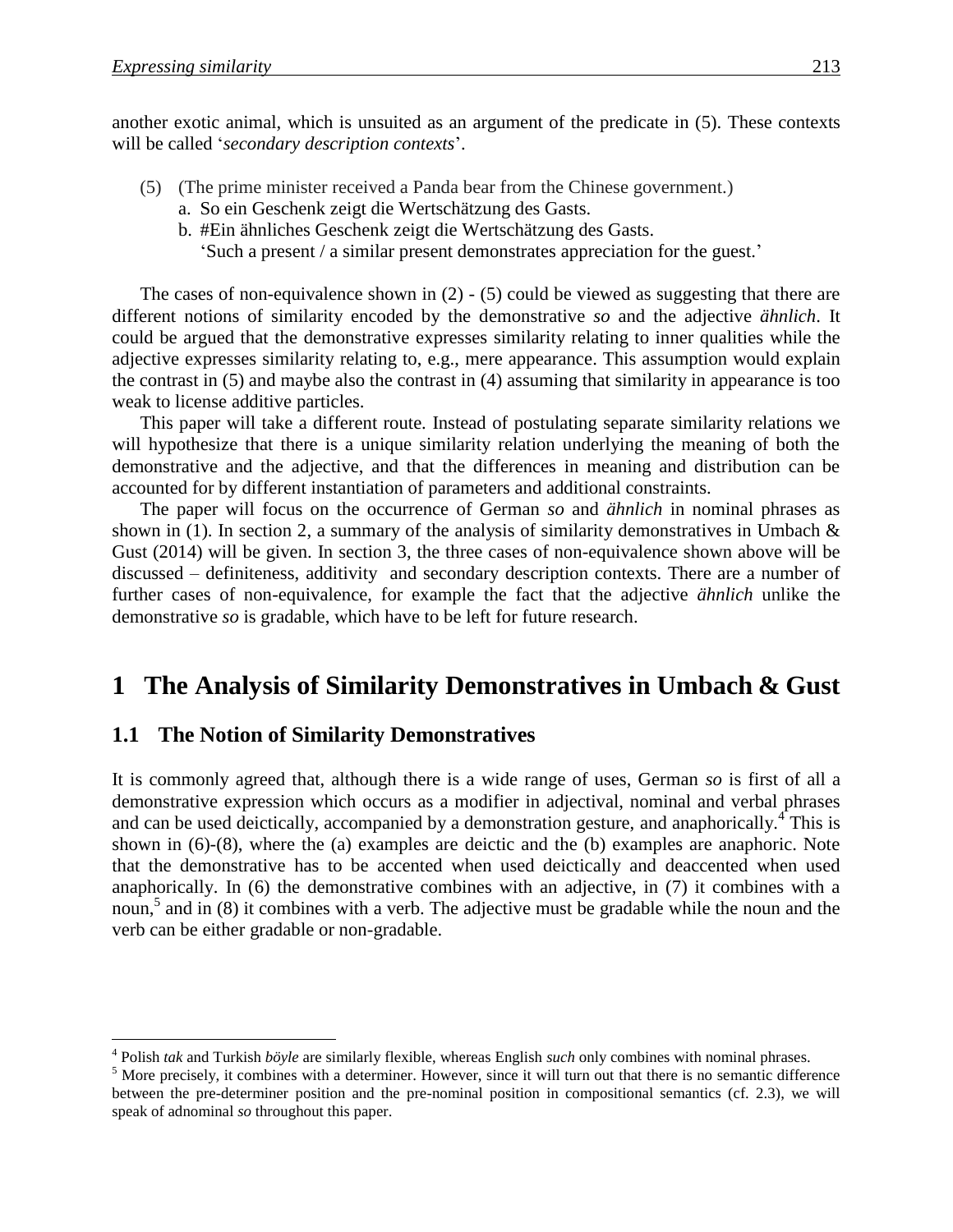another exotic animal, which is unsuited as an argument of the predicate in (5). These contexts will be called '*secondary description contexts*'.

- (5) (The prime minister received a Panda bear from the Chinese government.)
	- a. So ein Geschenk zeigt die Wertschätzung des Gasts.
	- b. #Ein ähnliches Geschenk zeigt die Wertschätzung des Gasts.
		- 'Such a present / a similar present demonstrates appreciation for the guest.'

The cases of non-equivalence shown in (2) - (5) could be viewed as suggesting that there are different notions of similarity encoded by the demonstrative *so* and the adjective *ähnlich*. It could be argued that the demonstrative expresses similarity relating to inner qualities while the adjective expresses similarity relating to, e.g., mere appearance. This assumption would explain the contrast in (5) and maybe also the contrast in (4) assuming that similarity in appearance is too weak to license additive particles.

This paper will take a different route. Instead of postulating separate similarity relations we will hypothesize that there is a unique similarity relation underlying the meaning of both the demonstrative and the adjective, and that the differences in meaning and distribution can be accounted for by different instantiation of parameters and additional constraints.

The paper will focus on the occurrence of German *so* and *ähnlich* in nominal phrases as shown in (1). In section 2, a summary of the analysis of similarity demonstratives in Umbach  $\&$ Gust (2014) will be given. In section 3, the three cases of non-equivalence shown above will be discussed – definiteness, additivity and secondary description contexts. There are a number of further cases of non-equivalence, for example the fact that the adjective *ähnlich* unlike the demonstrative *so* is gradable, which have to be left for future research.

## **1** The Analysis of Similarity Demonstratives in Umbach & Gust

#### **1.1 The Notion of Similarity Demonstratives**

It is commonly agreed that, although there is a wide range of uses, German *so* is first of all a demonstrative expression which occurs as a modifier in adjectival, nominal and verbal phrases and can be used deictically, accompanied by a demonstration gesture, and anaphorically.<sup>4</sup> This is shown in (6)-(8), where the (a) examples are deictic and the (b) examples are anaphoric. Note that the demonstrative has to be accented when used deictically and deaccented when used anaphorically. In (6) the demonstrative combines with an adjective, in (7) it combines with a noun,<sup>5</sup> and in (8) it combines with a verb. The adjective must be gradable while the noun and the verb can be either gradable or non-gradable.

 4 Polish *tak* and Turkish *böyle* are similarly flexible, whereas English *such* only combines with nominal phrases.

<sup>&</sup>lt;sup>5</sup> More precisely, it combines with a determiner. However, since it will turn out that there is no semantic difference between the pre-determiner position and the pre-nominal position in compositional semantics (cf. 2.3), we will speak of adnominal *so* throughout this paper.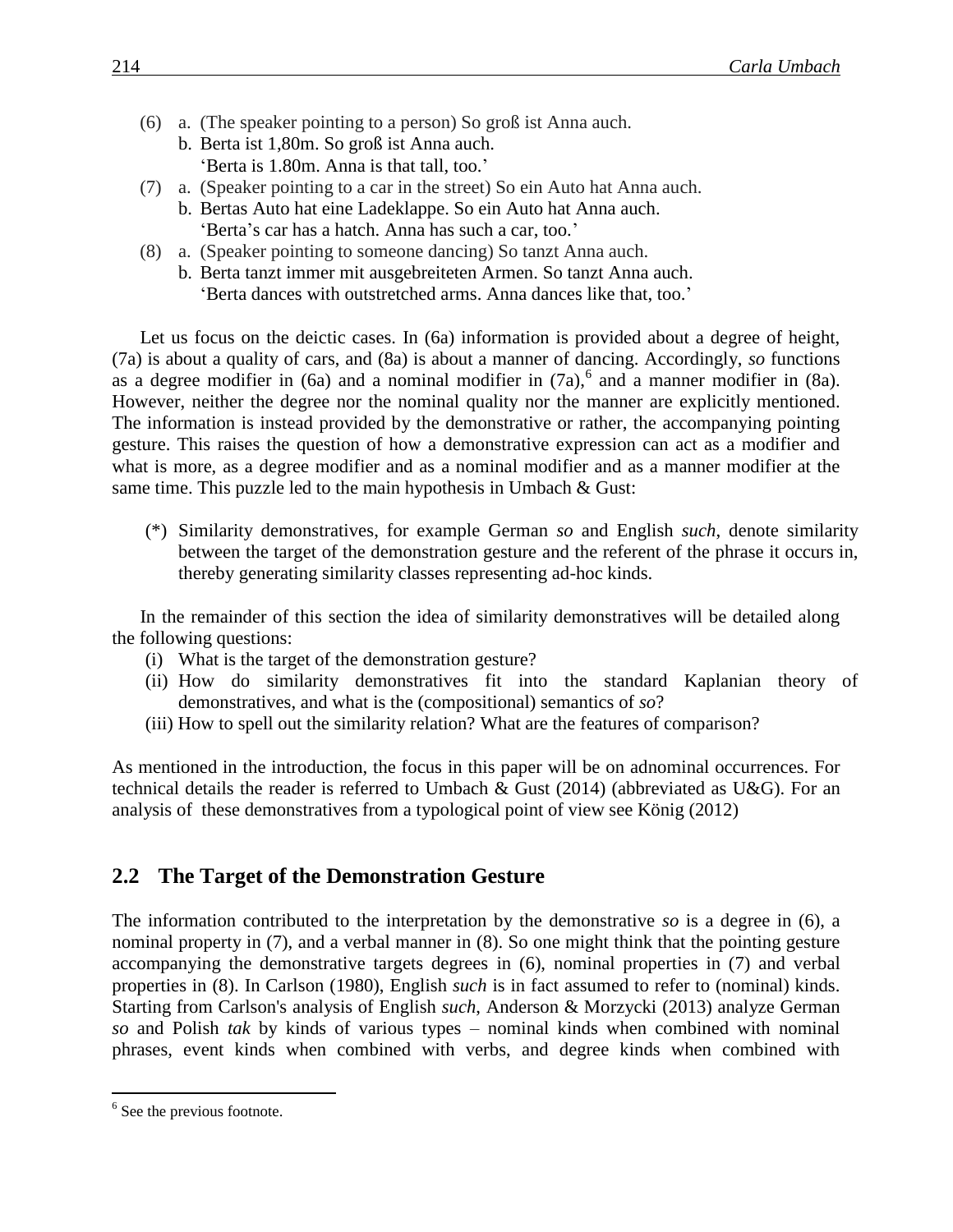- (6) a. (The speaker pointing to a person) So groß ist Anna auch.
	- b. Berta ist 1,80m. So groß ist Anna auch. 'Berta is 1.80m. Anna is that tall, too.'
- (7) a. (Speaker pointing to a car in the street) So ein Auto hat Anna auch.
	- b. Bertas Auto hat eine Ladeklappe. So ein Auto hat Anna auch. 'Berta's car has a hatch. Anna has such a car, too.'
- (8) a. (Speaker pointing to someone dancing) So tanzt Anna auch.
	- b. Berta tanzt immer mit ausgebreiteten Armen. So tanzt Anna auch. 'Berta dances with outstretched arms. Anna dances like that, too.'

Let us focus on the deictic cases. In (6a) information is provided about a degree of height, (7a) is about a quality of cars, and (8a) is about a manner of dancing. Accordingly, *so* functions as a degree modifier in  $(6a)$  and a nominal modifier in  $(7a)$ , and a manner modifier in  $(8a)$ . However, neither the degree nor the nominal quality nor the manner are explicitly mentioned. The information is instead provided by the demonstrative or rather, the accompanying pointing gesture. This raises the question of how a demonstrative expression can act as a modifier and what is more, as a degree modifier and as a nominal modifier and as a manner modifier at the same time. This puzzle led to the main hypothesis in Umbach & Gust:

(\*) Similarity demonstratives, for example German *so* and English *such*, denote similarity between the target of the demonstration gesture and the referent of the phrase it occurs in, thereby generating similarity classes representing ad-hoc kinds.

In the remainder of this section the idea of similarity demonstratives will be detailed along the following questions:

- (i) What is the target of the demonstration gesture?
- (ii) How do similarity demonstratives fit into the standard Kaplanian theory of demonstratives, and what is the (compositional) semantics of *so*?
- (iii) How to spell out the similarity relation? What are the features of comparison?

As mentioned in the introduction, the focus in this paper will be on adnominal occurrences. For technical details the reader is referred to Umbach & Gust (2014) (abbreviated as U&G). For an analysis of these demonstratives from a typological point of view see König (2012)

### **2.2 The Target of the Demonstration Gesture**

The information contributed to the interpretation by the demonstrative *so* is a degree in (6), a nominal property in (7), and a verbal manner in (8). So one might think that the pointing gesture accompanying the demonstrative targets degrees in (6), nominal properties in (7) and verbal properties in (8). In Carlson (1980), English *such* is in fact assumed to refer to (nominal) kinds. Starting from Carlson's analysis of English *such*, Anderson & Morzycki (2013) analyze German *so* and Polish *tak* by kinds of various types – nominal kinds when combined with nominal phrases, event kinds when combined with verbs, and degree kinds when combined with

 $\overline{a}$ 

<sup>&</sup>lt;sup>6</sup> See the previous footnote.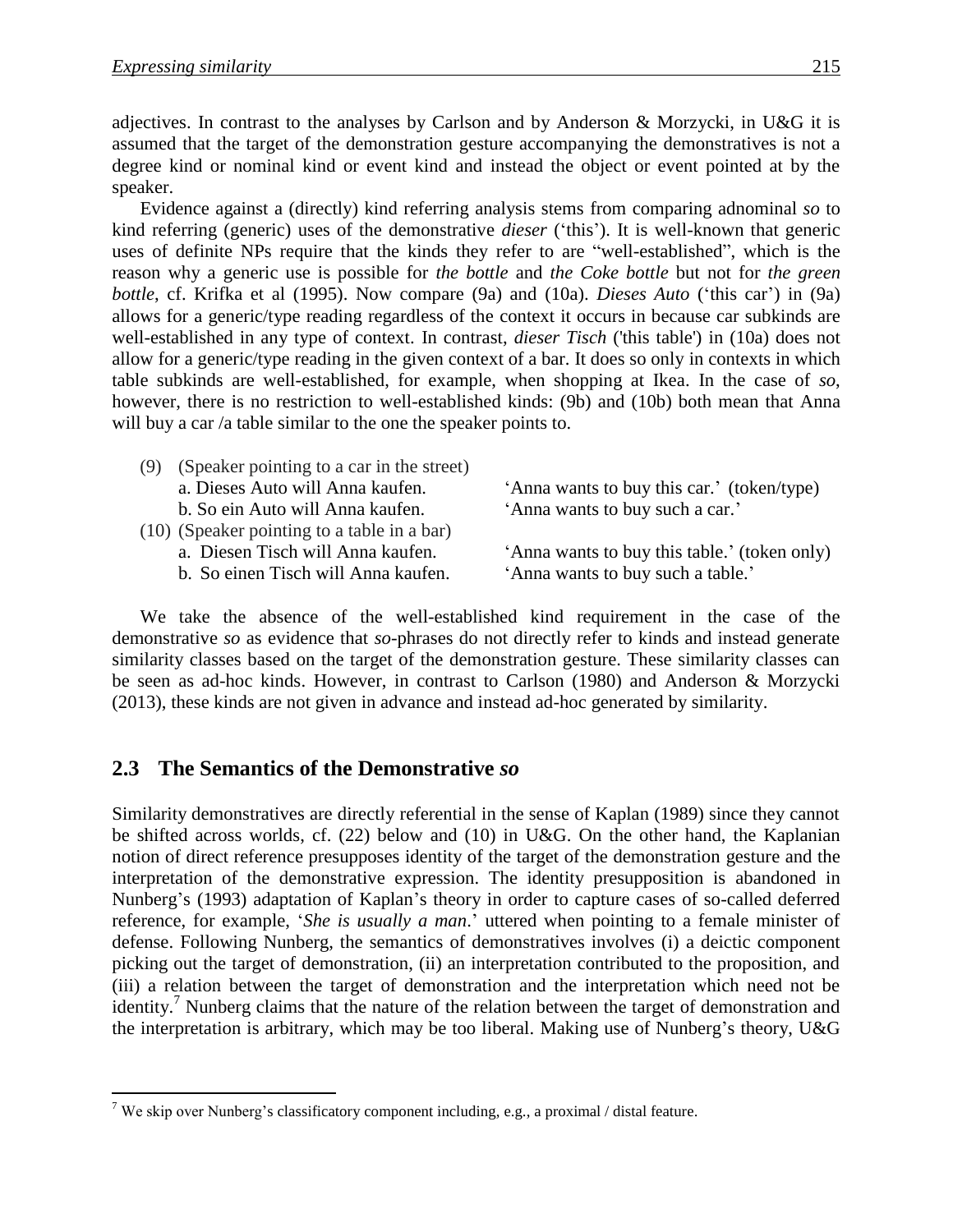adjectives. In contrast to the analyses by Carlson and by Anderson & Morzycki, in U&G it is assumed that the target of the demonstration gesture accompanying the demonstratives is not a degree kind or nominal kind or event kind and instead the object or event pointed at by the speaker.

Evidence against a (directly) kind referring analysis stems from comparing adnominal *so* to kind referring (generic) uses of the demonstrative *dieser* ('this'). It is well-known that generic uses of definite NPs require that the kinds they refer to are "well-established", which is the reason why a generic use is possible for *the bottle* and *the Coke bottle* but not for *the green bottle*, cf. Krifka et al (1995). Now compare (9a) and (10a). *Dieses Auto* ('this car') in (9a) allows for a generic/type reading regardless of the context it occurs in because car subkinds are well-established in any type of context. In contrast, *dieser Tisch* ('this table') in (10a) does not allow for a generic/type reading in the given context of a bar. It does so only in contexts in which table subkinds are well-established, for example, when shopping at Ikea. In the case of *so*, however, there is no restriction to well-established kinds: (9b) and (10b) both mean that Anna will buy a car /a table similar to the one the speaker points to.

| (9) | (Speaker pointing to a car in the street)   |                                              |
|-----|---------------------------------------------|----------------------------------------------|
|     | a. Dieses Auto will Anna kaufen.            | 'Anna wants to buy this car.' (token/type)   |
|     | b. So ein Auto will Anna kaufen.            | 'Anna wants to buy such a car.'              |
|     | (10) (Speaker pointing to a table in a bar) |                                              |
|     | a. Diesen Tisch will Anna kaufen.           | 'Anna wants to buy this table.' (token only) |
|     | b. So einen Tisch will Anna kaufen.         | 'Anna wants to buy such a table.'            |
|     |                                             |                                              |

We take the absence of the well-established kind requirement in the case of the demonstrative *so* as evidence that *so*-phrases do not directly refer to kinds and instead generate similarity classes based on the target of the demonstration gesture. These similarity classes can be seen as ad-hoc kinds. However, in contrast to Carlson (1980) and Anderson & Morzycki (2013), these kinds are not given in advance and instead ad-hoc generated by similarity.

#### **2.3**xx**The Semantics of the Demonstrative** *so*

 $\overline{a}$ 

Similarity demonstratives are directly referential in the sense of Kaplan (1989) since they cannot be shifted across worlds, cf. (22) below and (10) in U&G. On the other hand, the Kaplanian notion of direct reference presupposes identity of the target of the demonstration gesture and the interpretation of the demonstrative expression. The identity presupposition is abandoned in Nunberg's (1993) adaptation of Kaplan's theory in order to capture cases of so-called deferred reference, for example, '*She is usually a man*.' uttered when pointing to a female minister of defense. Following Nunberg, the semantics of demonstratives involves (i) a deictic component picking out the target of demonstration, (ii) an interpretation contributed to the proposition, and (iii) a relation between the target of demonstration and the interpretation which need not be identity.<sup>7</sup> Nunberg claims that the nature of the relation between the target of demonstration and the interpretation is arbitrary, which may be too liberal. Making use of Nunberg's theory, U&G

<sup>&</sup>lt;sup>7</sup> We skip over Nunberg's classificatory component including, e.g., a proximal / distal feature.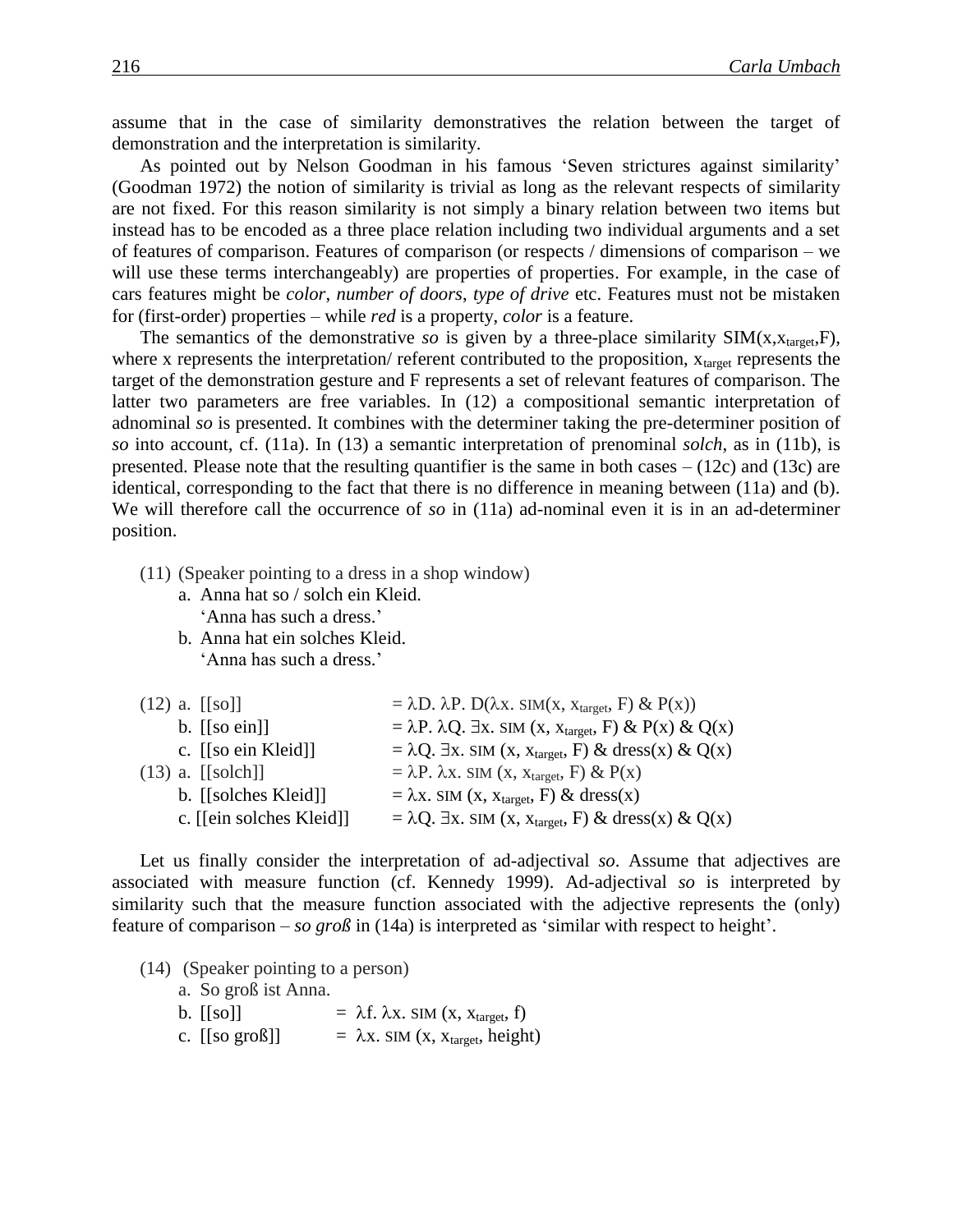assume that in the case of similarity demonstratives the relation between the target of demonstration and the interpretation is similarity.

As pointed out by Nelson Goodman in his famous 'Seven strictures against similarity' (Goodman 1972) the notion of similarity is trivial as long as the relevant respects of similarity are not fixed. For this reason similarity is not simply a binary relation between two items but instead has to be encoded as a three place relation including two individual arguments and a set of features of comparison. Features of comparison (or respects / dimensions of comparison – we will use these terms interchangeably) are properties of properties. For example, in the case of cars features might be *color*, *number of doors*, *type of drive* etc. Features must not be mistaken for (first-order) properties – while *red* is a property, *color* is a feature.

The semantics of the demonstrative *so* is given by a three-place similarity  $SIM(x, x_{\text{target}}, F)$ , where x represents the interpretation/ referent contributed to the proposition,  $x_{\text{target}}$  represents the target of the demonstration gesture and F represents a set of relevant features of comparison. The latter two parameters are free variables. In (12) a compositional semantic interpretation of adnominal *so* is presented. It combines with the determiner taking the pre-determiner position of *so* into account, cf. (11a). In (13) a semantic interpretation of prenominal *solch*, as in (11b), is presented. Please note that the resulting quantifier is the same in both cases  $- (12c)$  and  $(13c)$  are identical, corresponding to the fact that there is no difference in meaning between (11a) and (b). We will therefore call the occurrence of *so* in (11a) ad-nominal even it is in an ad-determiner position.

- (11) (Speaker pointing to a dress in a shop window)
	- a. Anna hat so / solch ein Kleid. 'Anna has such a dress.' b. Anna hat ein solches Kleid.
	- 'Anna has such a dress.'

| $(12)$ a. [[so]]                    | $= \lambda D. \lambda P. D(\lambda x. SIM(x, x_{target}, F) \& P(x))$            |
|-------------------------------------|----------------------------------------------------------------------------------|
| b. $\left[ \text{[so ein]} \right]$ | $= \lambda P$ . $\lambda Q$ . Ex. SIM (x, x <sub>target</sub> , F) & P(x) & Q(x) |
| c. [[so ein Kleid]]                 | $= \lambda Q$ . Ex. SIM (x, x <sub>target</sub> , F) & dress(x) & Q(x)           |
| $(13)$ a. [[solch]]                 | $= \lambda P. \lambda x.$ SIM (x, x <sub>target</sub> , F) & P(x)                |
| b. [[solches Kleid]]                | $= \lambda x$ . SIM (x, x <sub>target</sub> , F) & dress(x)                      |
| c. [[ein solches Kleid]]            | $= \lambda Q$ . Ex. SIM (x, x <sub>target</sub> , F) & dress(x) & Q(x)           |
|                                     |                                                                                  |

Let us finally consider the interpretation of ad-adjectival *so*. Assume that adjectives are associated with measure function (cf. Kennedy 1999). Ad-adjectival *so* is interpreted by similarity such that the measure function associated with the adjective represents the (only) feature of comparison – *so groß* in (14a) is interpreted as 'similar with respect to height'.

(14) (Speaker pointing to a person)

| a. So groß ist Anna. |                                                       |
|----------------------|-------------------------------------------------------|
| $b.$ [[so]]          | $= \lambda f. \lambda x.$ SIM $(x, x_{target}, f)$    |
| c. $[$ [so groß]]    | $= \lambda x$ . SIM (x, x <sub>target</sub> , height) |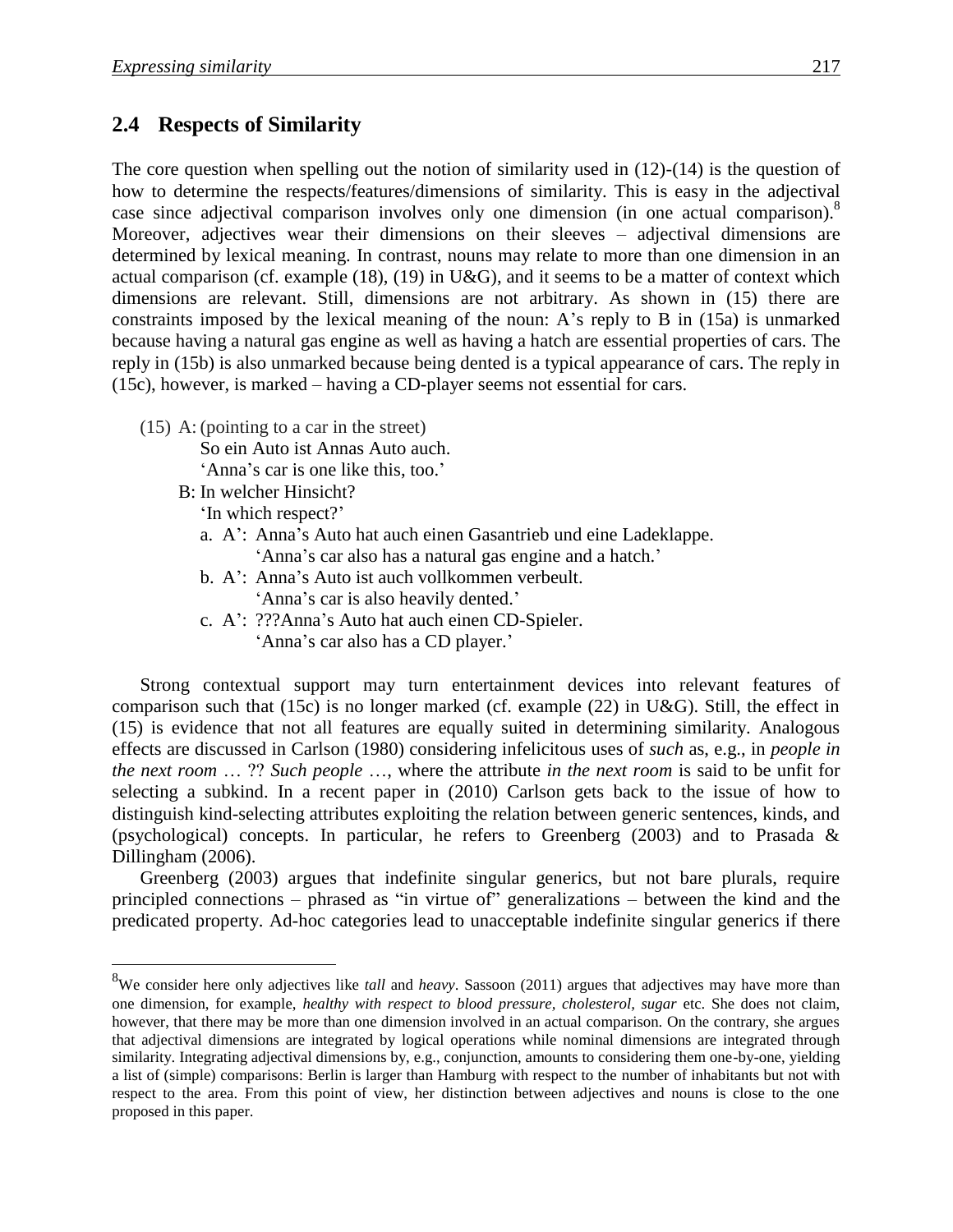#### **2.4** Respects of Similarity

The core question when spelling out the notion of similarity used in  $(12)-(14)$  is the question of how to determine the respects/features/dimensions of similarity. This is easy in the adjectival case since adjectival comparison involves only one dimension (in one actual comparison).<sup>8</sup> Moreover, adjectives wear their dimensions on their sleeves – adjectival dimensions are determined by lexical meaning. In contrast, nouns may relate to more than one dimension in an actual comparison (cf. example (18), (19) in U&G), and it seems to be a matter of context which dimensions are relevant. Still, dimensions are not arbitrary. As shown in (15) there are constraints imposed by the lexical meaning of the noun: A's reply to B in (15a) is unmarked because having a natural gas engine as well as having a hatch are essential properties of cars. The reply in (15b) is also unmarked because being dented is a typical appearance of cars. The reply in (15c), however, is marked – having a CD-player seems not essential for cars.

(15) A: (pointing to a car in the street)

So ein Auto ist Annas Auto auch.

'Anna's car is one like this, too.'

B: In welcher Hinsicht? 'In which respect?'

 $\overline{a}$ 

- a. A': Anna's Auto hat auch einen Gasantrieb und eine Ladeklappe.
	- 'Anna's car also has a natural gas engine and a hatch.'
- b. A': Anna's Auto ist auch vollkommen verbeult. 'Anna's car is also heavily dented.'
- c. A': ???Anna's Auto hat auch einen CD-Spieler. 'Anna's car also has a CD player.'

Strong contextual support may turn entertainment devices into relevant features of comparison such that (15c) is no longer marked (cf. example (22) in U&G). Still, the effect in (15) is evidence that not all features are equally suited in determining similarity. Analogous effects are discussed in Carlson (1980) considering infelicitous uses of *such* as, e.g., in *people in the next room* … ?? *Such people* …, where the attribute *in the next room* is said to be unfit for selecting a subkind. In a recent paper in (2010) Carlson gets back to the issue of how to distinguish kind-selecting attributes exploiting the relation between generic sentences, kinds, and (psychological) concepts. In particular, he refers to Greenberg (2003) and to Prasada & Dillingham (2006).

Greenberg (2003) argues that indefinite singular generics, but not bare plurals, require principled connections – phrased as "in virtue of" generalizations – between the kind and the predicated property. Ad-hoc categories lead to unacceptable indefinite singular generics if there

<sup>8</sup>We consider here only adjectives like *tall* and *heavy*. Sassoon (2011) argues that adjectives may have more than one dimension, for example, *healthy with respect to blood pressure, cholesterol, sugar* etc. She does not claim, however, that there may be more than one dimension involved in an actual comparison. On the contrary, she argues that adjectival dimensions are integrated by logical operations while nominal dimensions are integrated through similarity. Integrating adjectival dimensions by, e.g., conjunction, amounts to considering them one-by-one, yielding a list of (simple) comparisons: Berlin is larger than Hamburg with respect to the number of inhabitants but not with respect to the area. From this point of view, her distinction between adjectives and nouns is close to the one proposed in this paper.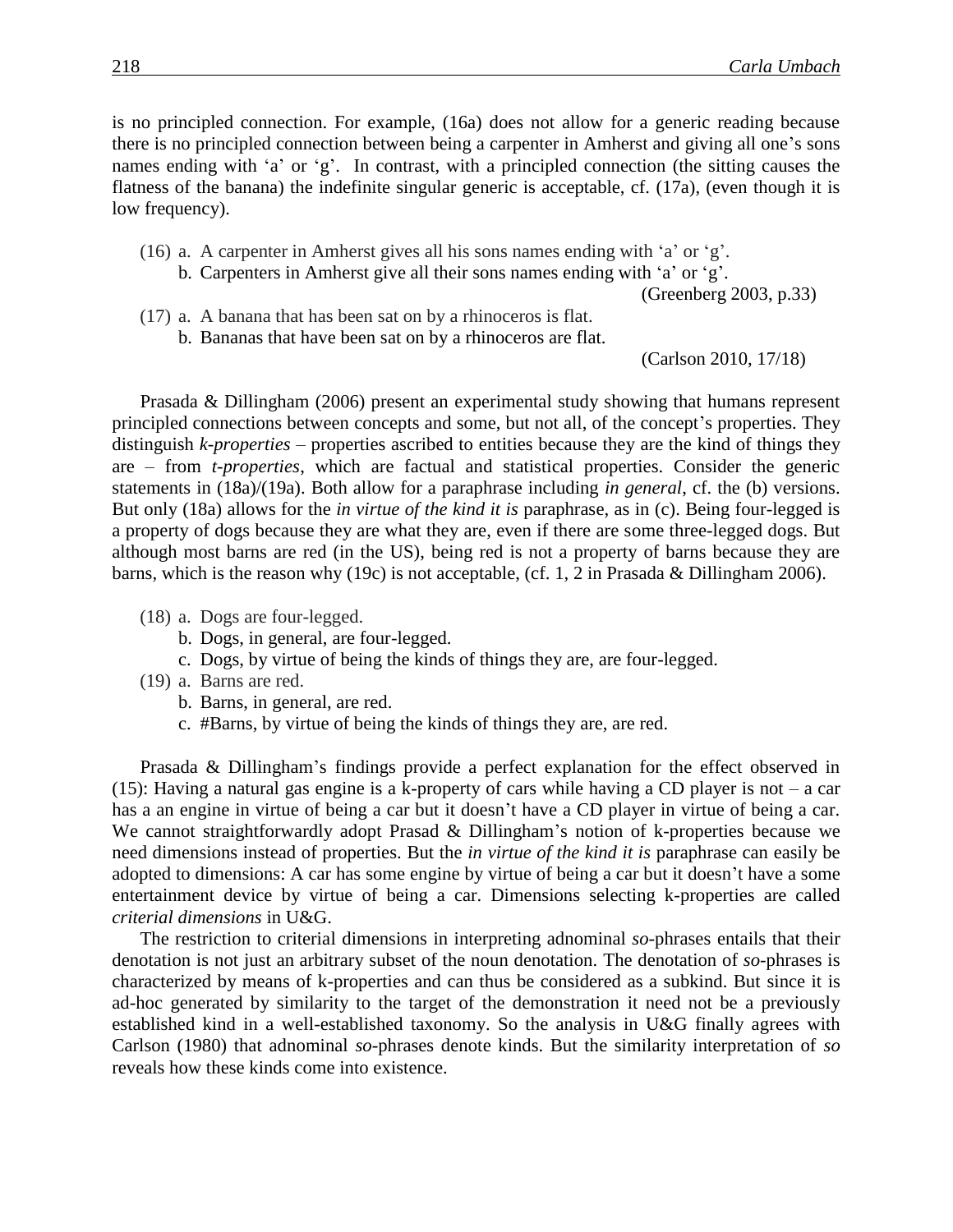is no principled connection. For example, (16a) does not allow for a generic reading because there is no principled connection between being a carpenter in Amherst and giving all one's sons names ending with 'a' or 'g'. In contrast, with a principled connection (the sitting causes the flatness of the banana) the indefinite singular generic is acceptable, cf. (17a), (even though it is low frequency).

- (16) a. A carpenter in Amherst gives all his sons names ending with 'a' or 'g'.
	- b. Carpenters in Amherst give all their sons names ending with 'a' or 'g'.

(Greenberg 2003, p.33)

- (17) a. A banana that has been sat on by a rhinoceros is flat.
	- b. Bananas that have been sat on by a rhinoceros are flat.

(Carlson 2010, 17/18)

Prasada & Dillingham (2006) present an experimental study showing that humans represent principled connections between concepts and some, but not all, of the concept's properties. They distinguish *k-properties* – properties ascribed to entities because they are the kind of things they are – from *t-properties*, which are factual and statistical properties. Consider the generic statements in (18a)/(19a). Both allow for a paraphrase including *in general*, cf. the (b) versions. But only (18a) allows for the *in virtue of the kind it is* paraphrase, as in (c). Being four-legged is a property of dogs because they are what they are, even if there are some three-legged dogs. But although most barns are red (in the US), being red is not a property of barns because they are barns, which is the reason why (19c) is not acceptable, (cf. 1, 2 in Prasada & Dillingham 2006).

- (18) a. Dogs are four-legged.
	- b. Dogs, in general, are four-legged.
	- c. Dogs, by virtue of being the kinds of things they are, are four-legged.
- (19) a. Barns are red.
	- b. Barns, in general, are red.
	- c. #Barns, by virtue of being the kinds of things they are, are red.

Prasada & Dillingham's findings provide a perfect explanation for the effect observed in (15): Having a natural gas engine is a k-property of cars while having a CD player is not – a car has a an engine in virtue of being a car but it doesn't have a CD player in virtue of being a car. We cannot straightforwardly adopt Prasad & Dillingham's notion of k-properties because we need dimensions instead of properties. But the *in virtue of the kind it is* paraphrase can easily be adopted to dimensions: A car has some engine by virtue of being a car but it doesn't have a some entertainment device by virtue of being a car. Dimensions selecting k-properties are called *criterial dimensions* in U&G.

The restriction to criterial dimensions in interpreting adnominal *so*-phrases entails that their denotation is not just an arbitrary subset of the noun denotation. The denotation of *so*-phrases is characterized by means of k-properties and can thus be considered as a subkind. But since it is ad-hoc generated by similarity to the target of the demonstration it need not be a previously established kind in a well-established taxonomy. So the analysis in U&G finally agrees with Carlson (1980) that adnominal *so*-phrases denote kinds. But the similarity interpretation of *so* reveals how these kinds come into existence.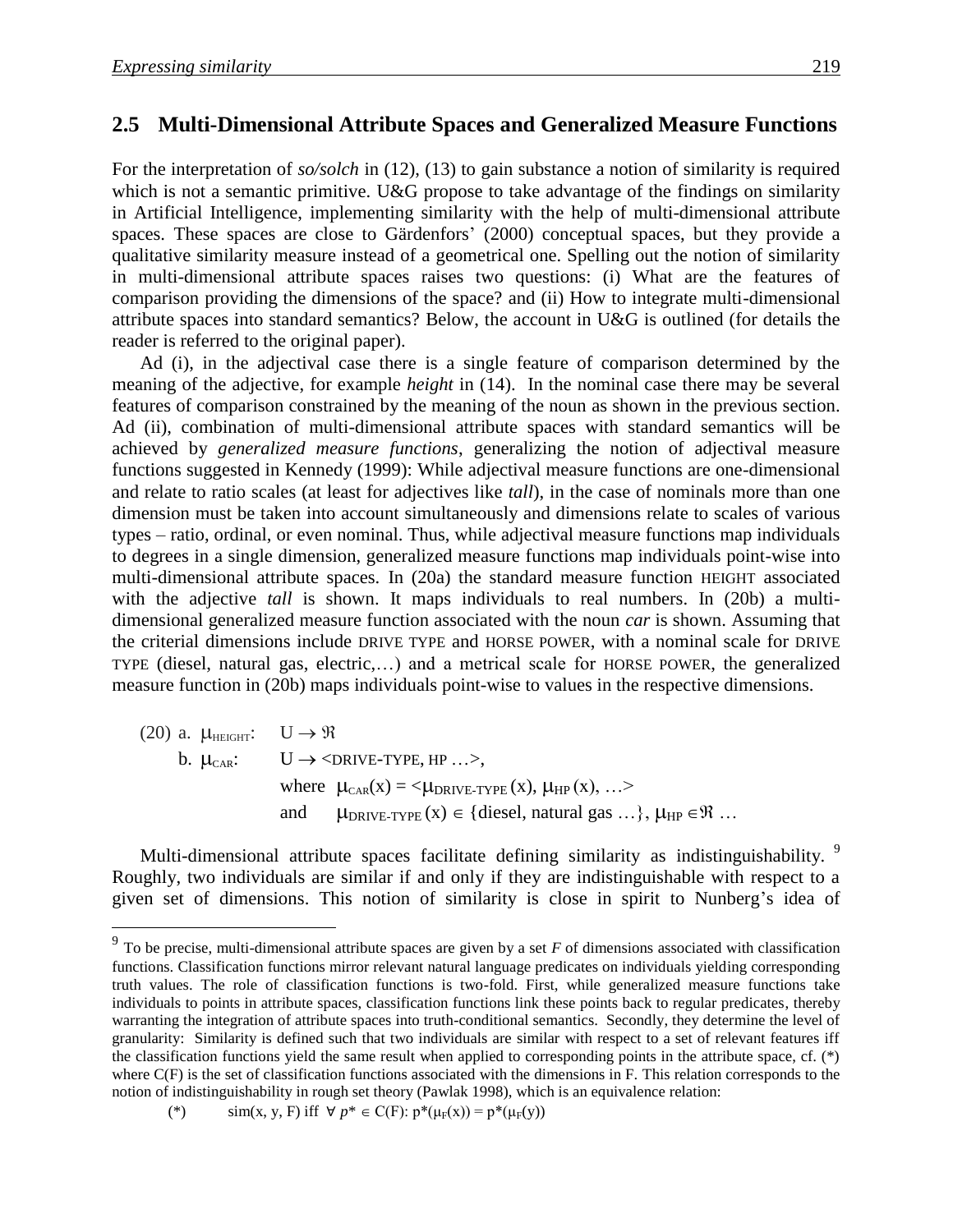#### **2.5** Multi-Dimensional Attribute Spaces and Generalized Measure Functions

For the interpretation of *so/solch* in (12), (13) to gain substance a notion of similarity is required which is not a semantic primitive. U&G propose to take advantage of the findings on similarity in Artificial Intelligence, implementing similarity with the help of multi-dimensional attribute spaces. These spaces are close to Gärdenfors' (2000) conceptual spaces, but they provide a qualitative similarity measure instead of a geometrical one. Spelling out the notion of similarity in multi-dimensional attribute spaces raises two questions: (i) What are the features of comparison providing the dimensions of the space? and (ii) How to integrate multi-dimensional attribute spaces into standard semantics? Below, the account in U&G is outlined (for details the reader is referred to the original paper).

Ad (i), in the adjectival case there is a single feature of comparison determined by the meaning of the adjective, for example *height* in (14). In the nominal case there may be several features of comparison constrained by the meaning of the noun as shown in the previous section. Ad (ii), combination of multi-dimensional attribute spaces with standard semantics will be achieved by *generalized measure functions*, generalizing the notion of adjectival measure functions suggested in Kennedy (1999): While adjectival measure functions are one-dimensional and relate to ratio scales (at least for adjectives like *tall*), in the case of nominals more than one dimension must be taken into account simultaneously and dimensions relate to scales of various types – ratio, ordinal, or even nominal. Thus, while adjectival measure functions map individuals to degrees in a single dimension, generalized measure functions map individuals point-wise into multi-dimensional attribute spaces. In (20a) the standard measure function HEIGHT associated with the adjective *tall* is shown. It maps individuals to real numbers. In (20b) a multidimensional generalized measure function associated with the noun *car* is shown. Assuming that the criterial dimensions include DRIVE TYPE and HORSE POWER, with a nominal scale for DRIVE TYPE (diesel, natural gas, electric,…) and a metrical scale for HORSE POWER, the generalized measure function in (20b) maps individuals point-wise to values in the respective dimensions.

(20) a.  $\mu_{\text{HEIGHT}}$ :  $U \rightarrow \Re$ b.  $\mu_{\text{CAR}}$ :  $U \rightarrow \text{CDRIVE-TYPE}, \text{HP} \dots$ where  $\mu_{\text{CAR}}(x) = \langle \mu_{\text{DRIVE-TYPE}} (x), \mu_{\text{HP}} (x), \ldots \rangle$ and  $\mu_{DRIVE-TYPE} (x) \in \{ \text{diesel, natural gas} \dots \}, \mu_{HP} \in \mathcal{R} \dots$ 

Multi-dimensional attribute spaces facilitate defining similarity as indistinguishability. <sup>9</sup> Roughly, two individuals are similar if and only if they are indistinguishable with respect to a given set of dimensions. This notion of similarity is close in spirit to Nunberg's idea of

<sup>&</sup>lt;sup>9</sup> To be precise, multi-dimensional attribute spaces are given by a set *F* of dimensions associated with classification functions. Classification functions mirror relevant natural language predicates on individuals yielding corresponding truth values. The role of classification functions is two-fold. First, while generalized measure functions take individuals to points in attribute spaces, classification functions link these points back to regular predicates, thereby warranting the integration of attribute spaces into truth-conditional semantics. Secondly, they determine the level of granularity: Similarity is defined such that two individuals are similar with respect to a set of relevant features iff the classification functions yield the same result when applied to corresponding points in the attribute space, cf. (\*) where C(F) is the set of classification functions associated with the dimensions in F. This relation corresponds to the notion of indistinguishability in rough set theory (Pawlak 1998), which is an equivalence relation:

<sup>(\*)</sup>  $\sin(x, y, F)$  iff  $\forall p^* \in C(F)$ :  $p^*(\mu_F(x)) = p^*(\mu_F(y))$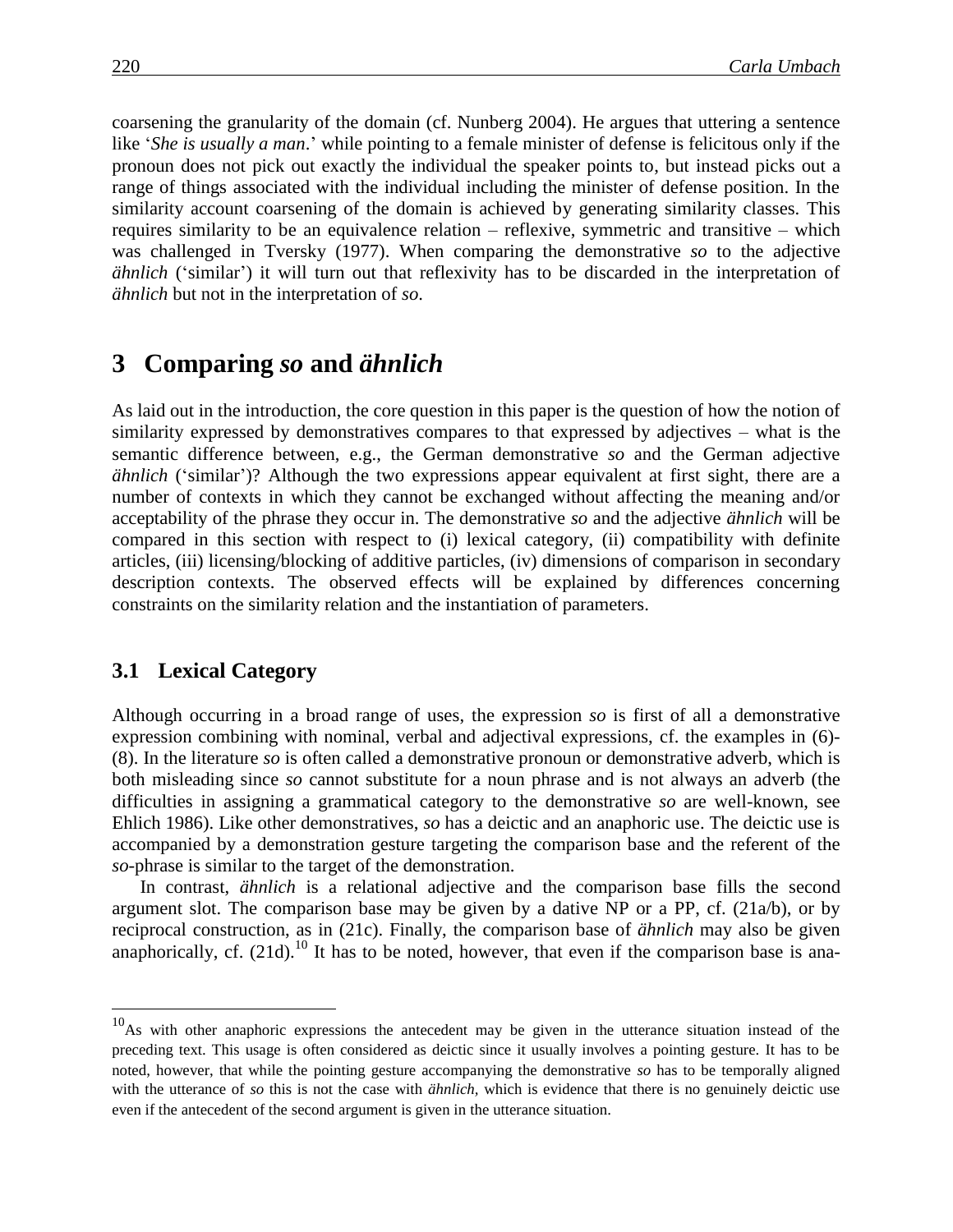coarsening the granularity of the domain (cf. Nunberg 2004). He argues that uttering a sentence like '*She is usually a man*.' while pointing to a female minister of defense is felicitous only if the pronoun does not pick out exactly the individual the speaker points to, but instead picks out a range of things associated with the individual including the minister of defense position. In the similarity account coarsening of the domain is achieved by generating similarity classes. This requires similarity to be an equivalence relation – reflexive, symmetric and transitive – which was challenged in Tversky (1977). When comparing the demonstrative *so* to the adjective *ähnlich* ('similar') it will turn out that reflexivity has to be discarded in the interpretation of *ähnlich* but not in the interpretation of *so*.

### **3**xx**Comparing** *so* **and** *ähnlich*

As laid out in the introduction, the core question in this paper is the question of how the notion of similarity expressed by demonstratives compares to that expressed by adjectives – what is the semantic difference between, e.g., the German demonstrative *so* and the German adjective *ähnlich* ('similar')? Although the two expressions appear equivalent at first sight, there are a number of contexts in which they cannot be exchanged without affecting the meaning and/or acceptability of the phrase they occur in. The demonstrative *so* and the adjective *ähnlich* will be compared in this section with respect to (i) lexical category, (ii) compatibility with definite articles, (iii) licensing/blocking of additive particles, (iv) dimensions of comparison in secondary description contexts. The observed effects will be explained by differences concerning constraints on the similarity relation and the instantiation of parameters.

#### **3.1 Lexical Category**

 $\overline{a}$ 

Although occurring in a broad range of uses, the expression *so* is first of all a demonstrative expression combining with nominal, verbal and adjectival expressions, cf. the examples in (6)- (8). In the literature *so* is often called a demonstrative pronoun or demonstrative adverb, which is both misleading since *so* cannot substitute for a noun phrase and is not always an adverb (the difficulties in assigning a grammatical category to the demonstrative *so* are well-known, see Ehlich 1986). Like other demonstratives, *so* has a deictic and an anaphoric use. The deictic use is accompanied by a demonstration gesture targeting the comparison base and the referent of the *so-*phrase is similar to the target of the demonstration.

In contrast, *ähnlich* is a relational adjective and the comparison base fills the second argument slot. The comparison base may be given by a dative NP or a PP, cf. (21a/b), or by reciprocal construction, as in (21c). Finally, the comparison base of *ähnlich* may also be given anaphorically, cf.  $(21d)$ .<sup>10</sup> It has to be noted, however, that even if the comparison base is ana-

 $10$ As with other anaphoric expressions the antecedent may be given in the utterance situation instead of the preceding text. This usage is often considered as deictic since it usually involves a pointing gesture. It has to be noted, however, that while the pointing gesture accompanying the demonstrative *so* has to be temporally aligned with the utterance of *so* this is not the case with *ähnlich,* which is evidence that there is no genuinely deictic use even if the antecedent of the second argument is given in the utterance situation.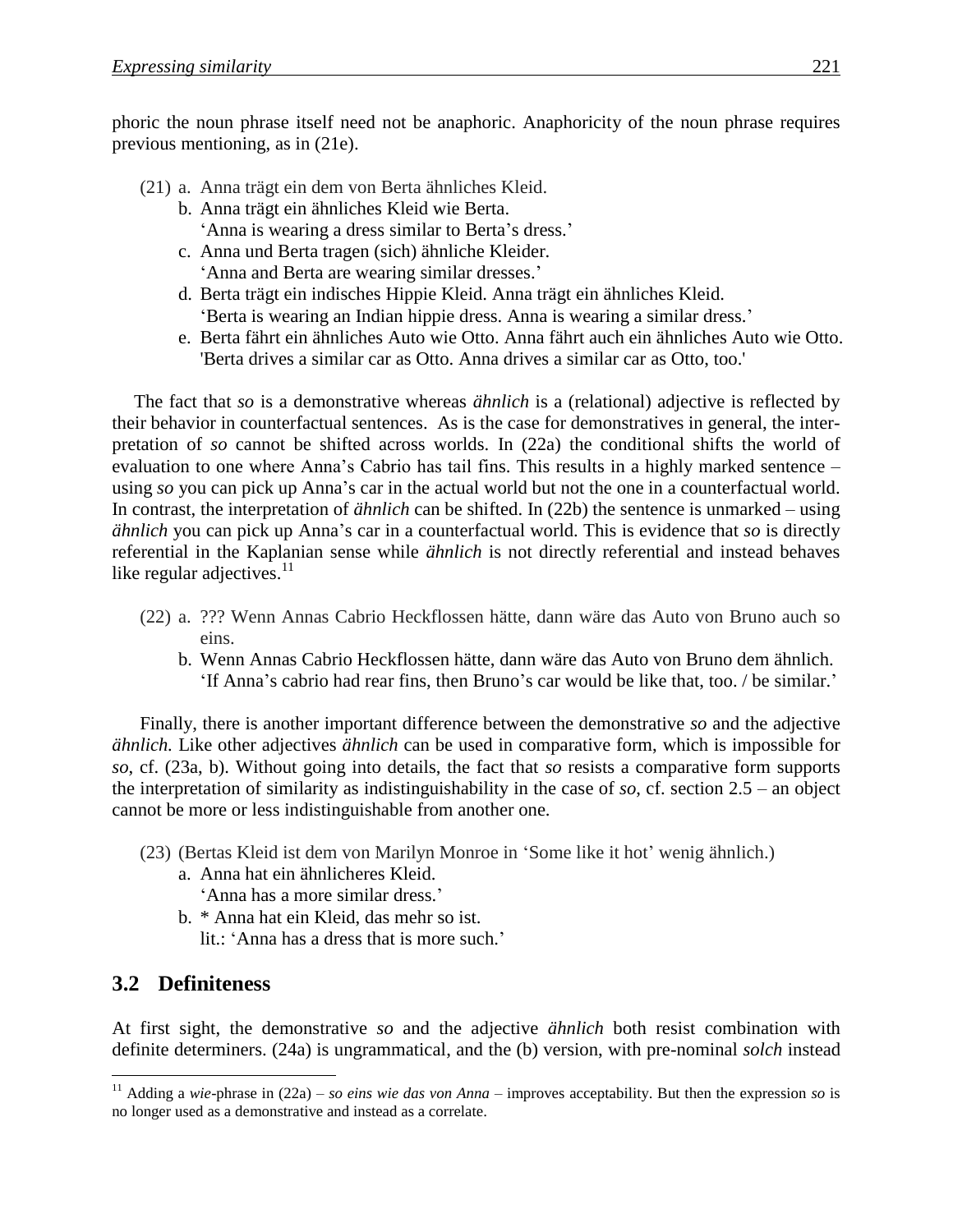phoric the noun phrase itself need not be anaphoric. Anaphoricity of the noun phrase requires previous mentioning, as in (21e).

- (21) a. Anna trägt ein dem von Berta ähnliches Kleid.
	- b. Anna trägt ein ähnliches Kleid wie Berta. 'Anna is wearing a dress similar to Berta's dress.'
	- c. Anna und Berta tragen (sich) ähnliche Kleider. 'Anna and Berta are wearing similar dresses.'
	- d. Berta trägt ein indisches Hippie Kleid. Anna trägt ein ähnliches Kleid. 'Berta is wearing an Indian hippie dress. Anna is wearing a similar dress.'
	- e. Berta fährt ein ähnliches Auto wie Otto. Anna fährt auch ein ähnliches Auto wie Otto. 'Berta drives a similar car as Otto. Anna drives a similar car as Otto, too.'

The fact that *so* is a demonstrative whereas *ähnlich* is a (relational) adjective is reflected by their behavior in counterfactual sentences. As is the case for demonstratives in general, the interpretation of *so* cannot be shifted across worlds. In (22a) the conditional shifts the world of evaluation to one where Anna's Cabrio has tail fins. This results in a highly marked sentence – using *so* you can pick up Anna's car in the actual world but not the one in a counterfactual world. In contrast, the interpretation of *ähnlich* can be shifted. In (22b) the sentence is unmarked – using *ähnlich* you can pick up Anna's car in a counterfactual world. This is evidence that *so* is directly referential in the Kaplanian sense while *ähnlich* is not directly referential and instead behaves like regular adjectives. $11$ 

- (22) a. ??? Wenn Annas Cabrio Heckflossen hätte, dann wäre das Auto von Bruno auch so eins.
	- b. Wenn Annas Cabrio Heckflossen hätte, dann wäre das Auto von Bruno dem ähnlich. 'If Anna's cabrio had rear fins, then Bruno's car would be like that, too. / be similar.'

Finally, there is another important difference between the demonstrative *so* and the adjective *ähnlich.* Like other adjectives *ähnlich* can be used in comparative form, which is impossible for *so*, cf. (23a, b). Without going into details, the fact that *so* resists a comparative form supports the interpretation of similarity as indistinguishability in the case of *so*, cf. section 2.5 – an object cannot be more or less indistinguishable from another one.

- (23) (Bertas Kleid ist dem von Marilyn Monroe in 'Some like it hot' wenig ähnlich.)
	- a. Anna hat ein ähnlicheres Kleid.
		- 'Anna has a more similar dress.'
	- b. \* Anna hat ein Kleid, das mehr so ist. lit.: 'Anna has a dress that is more such.'

### **3.2**xx**Definiteness**

 $\overline{a}$ 

At first sight, the demonstrative *so* and the adjective *ähnlich* both resist combination with definite determiners. (24a) is ungrammatical, and the (b) version, with pre-nominal *solch* instead

<sup>&</sup>lt;sup>11</sup> Adding a *wie*-phrase in  $(22a)$  – *so eins wie das von Anna* – improves acceptability. But then the expression *so* is no longer used as a demonstrative and instead as a correlate.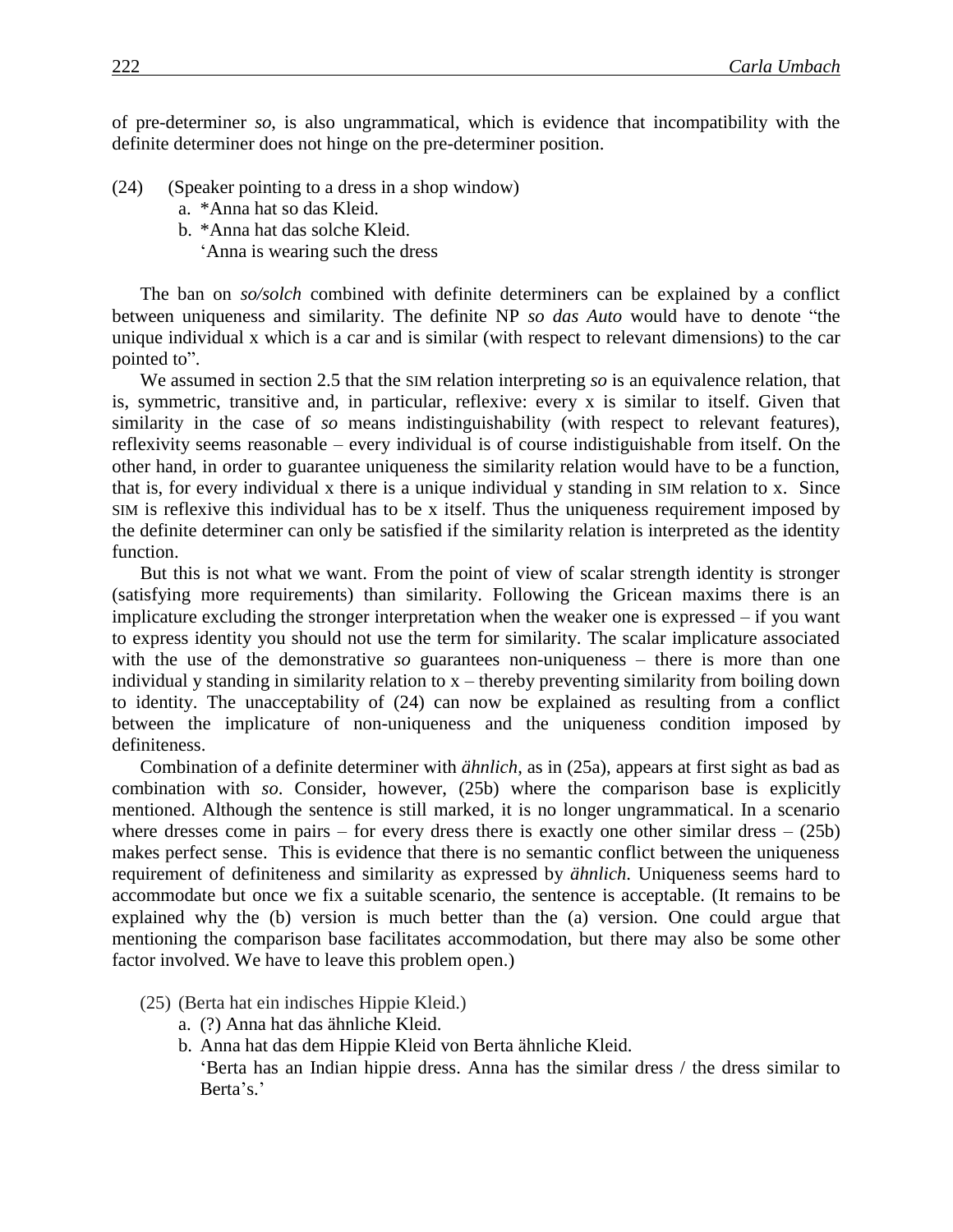of pre-determiner *so*, is also ungrammatical, which is evidence that incompatibility with the definite determiner does not hinge on the pre-determiner position.

- (24) (Speaker pointing to a dress in a shop window)
	- a. \*Anna hat so das Kleid.
	- b. \*Anna hat das solche Kleid.
		- 'Anna is wearing such the dress

The ban on *so/solch* combined with definite determiners can be explained by a conflict between uniqueness and similarity. The definite NP *so das Auto* would have to denote "the unique individual x which is a car and is similar (with respect to relevant dimensions) to the car pointed to".

We assumed in section 2.5 that the SIM relation interpreting *so* is an equivalence relation, that is, symmetric, transitive and, in particular, reflexive: every x is similar to itself. Given that similarity in the case of *so* means indistinguishability (with respect to relevant features), reflexivity seems reasonable – every individual is of course indistiguishable from itself. On the other hand, in order to guarantee uniqueness the similarity relation would have to be a function, that is, for every individual x there is a unique individual y standing in SIM relation to x. Since SIM is reflexive this individual has to be x itself. Thus the uniqueness requirement imposed by the definite determiner can only be satisfied if the similarity relation is interpreted as the identity function.

But this is not what we want. From the point of view of scalar strength identity is stronger (satisfying more requirements) than similarity. Following the Gricean maxims there is an implicature excluding the stronger interpretation when the weaker one is expressed – if you want to express identity you should not use the term for similarity. The scalar implicature associated with the use of the demonstrative *so* guarantees non-uniqueness – there is more than one individual y standing in similarity relation to x – thereby preventing similarity from boiling down to identity. The unacceptability of (24) can now be explained as resulting from a conflict between the implicature of non-uniqueness and the uniqueness condition imposed by definiteness.

Combination of a definite determiner with *ähnlich*, as in (25a), appears at first sight as bad as combination with *so*. Consider, however, (25b) where the comparison base is explicitly mentioned. Although the sentence is still marked, it is no longer ungrammatical. In a scenario where dresses come in pairs – for every dress there is exactly one other similar dress  $-$  (25b) makes perfect sense. This is evidence that there is no semantic conflict between the uniqueness requirement of definiteness and similarity as expressed by *ähnlich*. Uniqueness seems hard to accommodate but once we fix a suitable scenario, the sentence is acceptable. (It remains to be explained why the (b) version is much better than the (a) version. One could argue that mentioning the comparison base facilitates accommodation, but there may also be some other factor involved. We have to leave this problem open.)

- (25) (Berta hat ein indisches Hippie Kleid.)
	- a. (?) Anna hat das ähnliche Kleid.
	- b. Anna hat das dem Hippie Kleid von Berta ähnliche Kleid.

'Berta has an Indian hippie dress. Anna has the similar dress / the dress similar to Berta's.'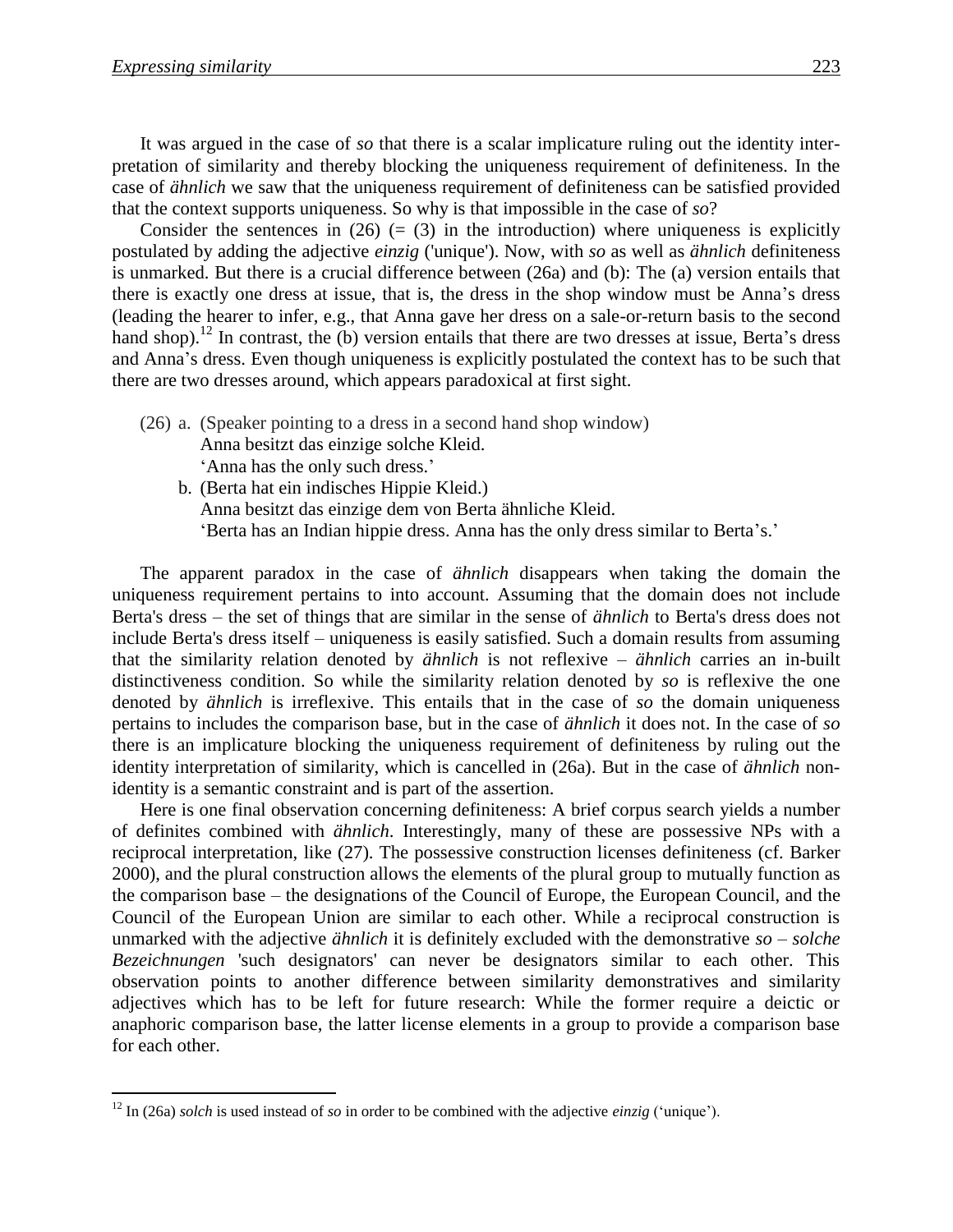$\overline{a}$ 

It was argued in the case of *so* that there is a scalar implicature ruling out the identity interpretation of similarity and thereby blocking the uniqueness requirement of definiteness. In the case of *ähnlich* we saw that the uniqueness requirement of definiteness can be satisfied provided that the context supports uniqueness. So why is that impossible in the case of *so*?

Consider the sentences in (26) (= (3) in the introduction) where uniqueness is explicitly postulated by adding the adjective *einzig* ('unique'). Now, with *so* as well as *ähnlich* definiteness is unmarked. But there is a crucial difference between (26a) and (b): The (a) version entails that there is exactly one dress at issue, that is, the dress in the shop window must be Anna's dress (leading the hearer to infer, e.g., that Anna gave her dress on a sale-or-return basis to the second hand shop).<sup>12</sup> In contrast, the (b) version entails that there are two dresses at issue, Berta's dress and Anna's dress. Even though uniqueness is explicitly postulated the context has to be such that there are two dresses around, which appears paradoxical at first sight.

- (26) a. (Speaker pointing to a dress in a second hand shop window) Anna besitzt das einzige solche Kleid. 'Anna has the only such dress.'
	- b. (Berta hat ein indisches Hippie Kleid.) Anna besitzt das einzige dem von Berta ähnliche Kleid. 'Berta has an Indian hippie dress. Anna has the only dress similar to Berta's.'

The apparent paradox in the case of *ähnlich* disappears when taking the domain the uniqueness requirement pertains to into account. Assuming that the domain does not include Berta's dress – the set of things that are similar in the sense of *ähnlich* to Berta's dress does not include Berta's dress itself – uniqueness is easily satisfied. Such a domain results from assuming that the similarity relation denoted by *ähnlich* is not reflexive – *ähnlich* carries an in-built distinctiveness condition. So while the similarity relation denoted by *so* is reflexive the one denoted by *ähnlich* is irreflexive. This entails that in the case of *so* the domain uniqueness pertains to includes the comparison base, but in the case of *ähnlich* it does not. In the case of *so* there is an implicature blocking the uniqueness requirement of definiteness by ruling out the identity interpretation of similarity, which is cancelled in (26a). But in the case of *ähnlich* nonidentity is a semantic constraint and is part of the assertion.

Here is one final observation concerning definiteness: A brief corpus search yields a number of definites combined with *ähnlich*. Interestingly, many of these are possessive NPs with a reciprocal interpretation, like (27). The possessive construction licenses definiteness (cf. Barker 2000), and the plural construction allows the elements of the plural group to mutually function as the comparison base – the designations of the Council of Europe, the European Council, and the Council of the European Union are similar to each other. While a reciprocal construction is unmarked with the adjective *ähnlich* it is definitely excluded with the demonstrative *so* – *solche Bezeichnungen* 'such designators' can never be designators similar to each other. This observation points to another difference between similarity demonstratives and similarity adjectives which has to be left for future research: While the former require a deictic or anaphoric comparison base, the latter license elements in a group to provide a comparison base for each other.

<sup>12</sup> In (26a) *solch* is used instead of *so* in order to be combined with the adjective *einzig* ('unique').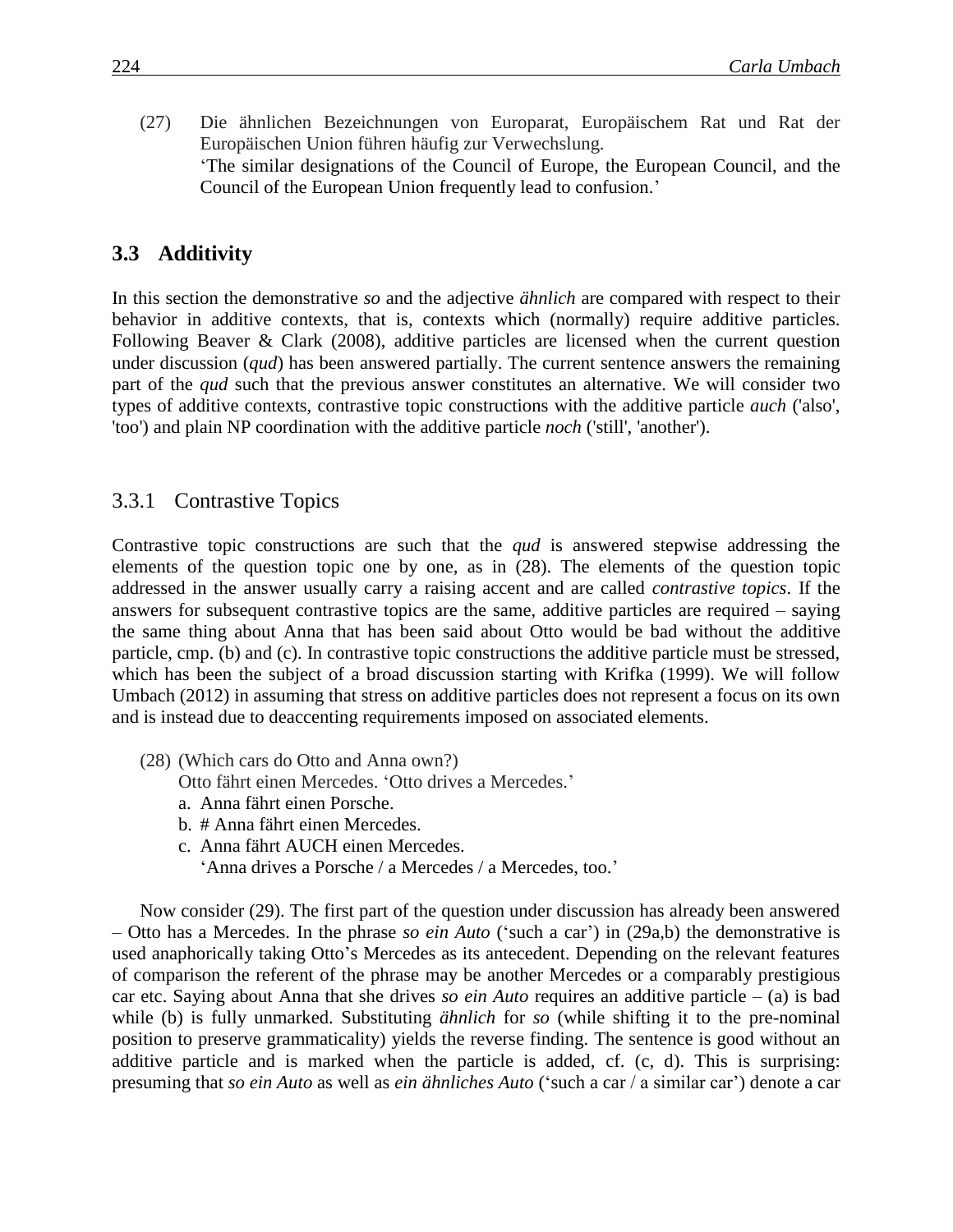(27) Die ähnlichen Bezeichnungen von Europarat, Europäischem Rat und Rat der Europäischen Union führen häufig zur Verwechslung. 'The similar designations of the Council of Europe, the European Council, and the Council of the European Union frequently lead to confusion.'

#### **3.3** Additivity

In this section the demonstrative *so* and the adjective *ähnlich* are compared with respect to their behavior in additive contexts, that is, contexts which (normally) require additive particles. Following Beaver & Clark (2008), additive particles are licensed when the current question under discussion (*qud*) has been answered partially. The current sentence answers the remaining part of the *qud* such that the previous answer constitutes an alternative. We will consider two types of additive contexts, contrastive topic constructions with the additive particle *auch* ('also', 'too') and plain NP coordination with the additive particle *noch* ('still', 'another').

#### 3.3.1 Contrastive Topics

Contrastive topic constructions are such that the *qud* is answered stepwise addressing the elements of the question topic one by one, as in (28). The elements of the question topic addressed in the answer usually carry a raising accent and are called *contrastive topics*. If the answers for subsequent contrastive topics are the same, additive particles are required – saying the same thing about Anna that has been said about Otto would be bad without the additive particle, cmp. (b) and (c). In contrastive topic constructions the additive particle must be stressed, which has been the subject of a broad discussion starting with Krifka (1999). We will follow Umbach (2012) in assuming that stress on additive particles does not represent a focus on its own and is instead due to deaccenting requirements imposed on associated elements.

(28) (Which cars do Otto and Anna own?)

Otto fährt einen Mercedes. 'Otto drives a Mercedes.'

- a. Anna fährt einen Porsche.
- b. # Anna fährt einen Mercedes.
- c. Anna fährt AUCH einen Mercedes.
	- 'Anna drives a Porsche / a Mercedes / a Mercedes, too.'

Now consider (29). The first part of the question under discussion has already been answered – Otto has a Mercedes. In the phrase *so ein Auto* ('such a car') in (29a,b) the demonstrative is used anaphorically taking Otto's Mercedes as its antecedent. Depending on the relevant features of comparison the referent of the phrase may be another Mercedes or a comparably prestigious car etc. Saying about Anna that she drives *so ein Auto* requires an additive particle – (a) is bad while (b) is fully unmarked. Substituting *ähnlich* for *so* (while shifting it to the pre-nominal position to preserve grammaticality) yields the reverse finding. The sentence is good without an additive particle and is marked when the particle is added, cf. (c, d). This is surprising: presuming that *so ein Auto* as well as *ein ähnliches Auto* ('such a car / a similar car') denote a car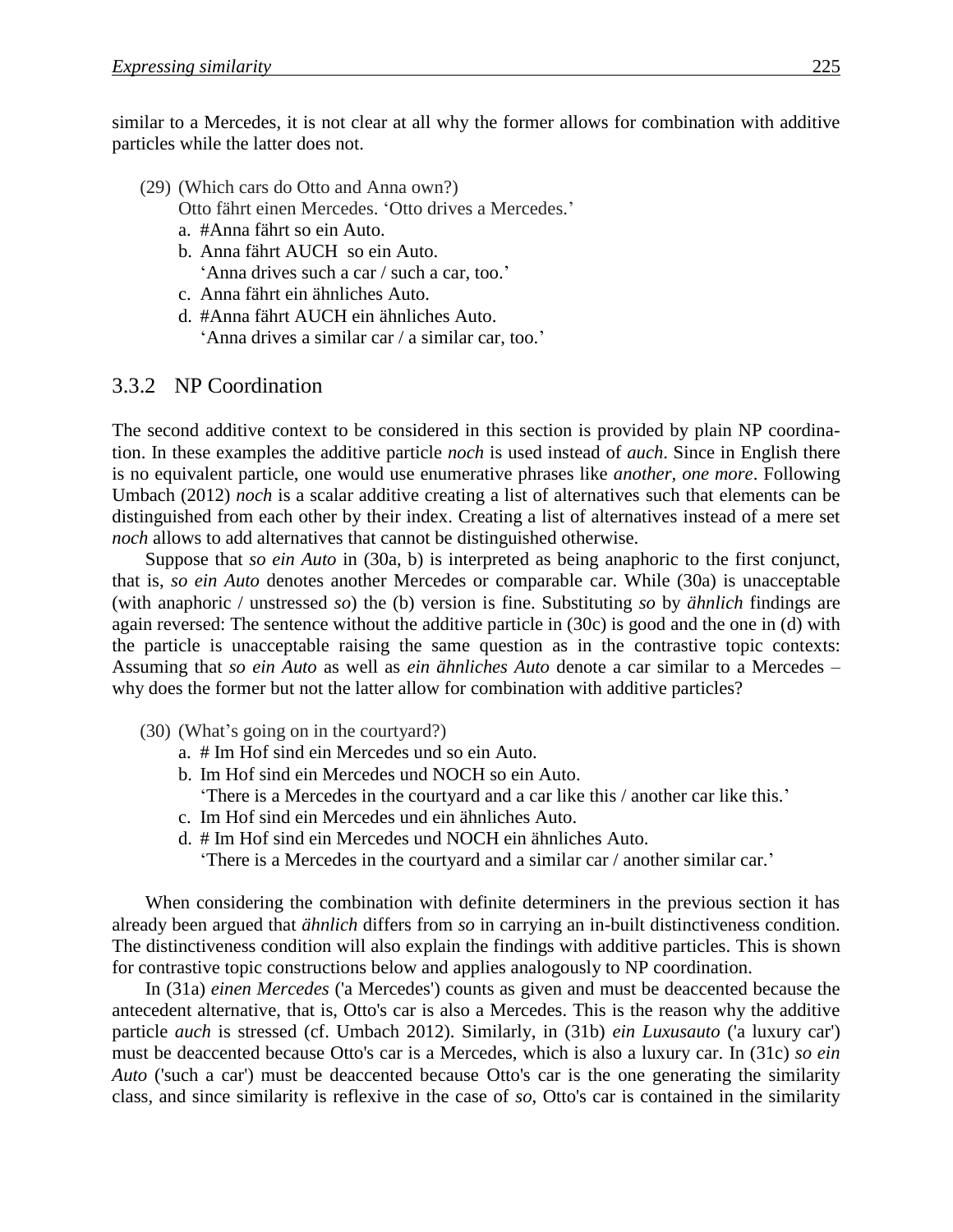similar to a Mercedes, it is not clear at all why the former allows for combination with additive particles while the latter does not.

- (29) (Which cars do Otto and Anna own?) Otto fährt einen Mercedes. 'Otto drives a Mercedes.'
	- a. #Anna fährt so ein Auto.
	- b. Anna fährt AUCH so ein Auto. 'Anna drives such a car / such a car, too.'
	- c. Anna fährt ein ähnliches Auto.
	- d. #Anna fährt AUCH ein ähnliches Auto. 'Anna drives a similar car / a similar car, too.'

#### 3.3.2 NP Coordination

The second additive context to be considered in this section is provided by plain NP coordination. In these examples the additive particle *noch* is used instead of *auch*. Since in English there is no equivalent particle, one would use enumerative phrases like *another, one more*. Following Umbach (2012) *noch* is a scalar additive creating a list of alternatives such that elements can be distinguished from each other by their index. Creating a list of alternatives instead of a mere set *noch* allows to add alternatives that cannot be distinguished otherwise.

Suppose that *so ein Auto* in (30a, b) is interpreted as being anaphoric to the first conjunct, that is, *so ein Auto* denotes another Mercedes or comparable car. While (30a) is unacceptable (with anaphoric / unstressed *so*) the (b) version is fine. Substituting *so* by *ähnlich* findings are again reversed: The sentence without the additive particle in (30c) is good and the one in (d) with the particle is unacceptable raising the same question as in the contrastive topic contexts: Assuming that *so ein Auto* as well as *ein ähnliches Auto* denote a car similar to a Mercedes – why does the former but not the latter allow for combination with additive particles?

- (30) (What's going on in the courtyard?)
	- a. # Im Hof sind ein Mercedes und so ein Auto.
	- b. Im Hof sind ein Mercedes und NOCH so ein Auto. 'There is a Mercedes in the courtyard and a car like this / another car like this.'
	- c. Im Hof sind ein Mercedes und ein ähnliches Auto.
	- d. # Im Hof sind ein Mercedes und NOCH ein ähnliches Auto.
		- 'There is a Mercedes in the courtyard and a similar car / another similar car.'

When considering the combination with definite determiners in the previous section it has already been argued that *ähnlich* differs from *so* in carrying an in-built distinctiveness condition. The distinctiveness condition will also explain the findings with additive particles. This is shown for contrastive topic constructions below and applies analogously to NP coordination.

In (31a) *einen Mercedes* ('a Mercedes') counts as given and must be deaccented because the antecedent alternative, that is, Otto's car is also a Mercedes. This is the reason why the additive particle *auch* is stressed (cf. Umbach 2012). Similarly, in (31b) *ein Luxusauto* ('a luxury car') must be deaccented because Otto's car is a Mercedes, which is also a luxury car. In (31c) *so ein Auto* ('such a car') must be deaccented because Otto's car is the one generating the similarity class, and since similarity is reflexive in the case of *so*, Otto's car is contained in the similarity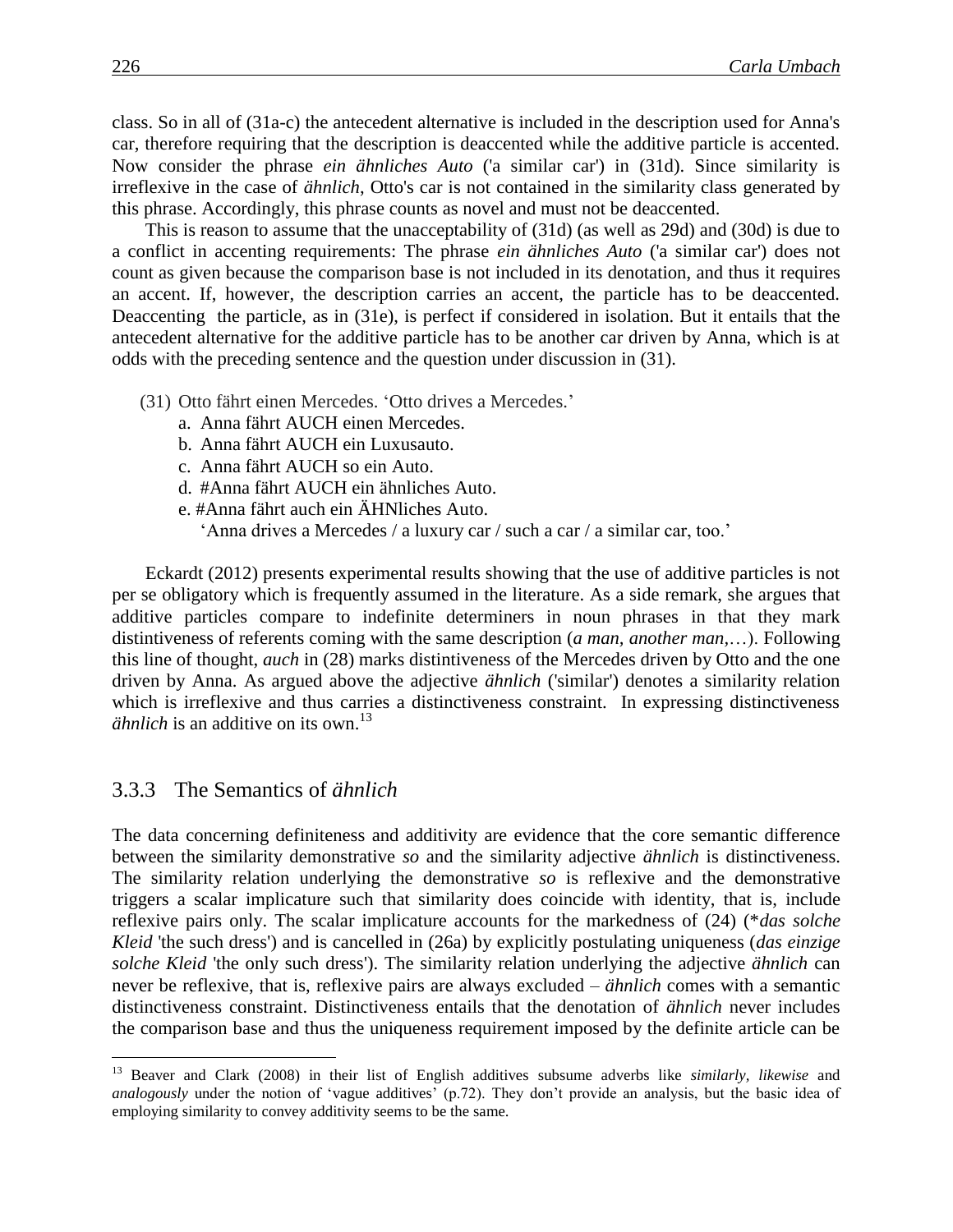class. So in all of (31a-c) the antecedent alternative is included in the description used for Anna's car, therefore requiring that the description is deaccented while the additive particle is accented. Now consider the phrase *ein ähnliches Auto* ('a similar car') in (31d). Since similarity is irreflexive in the case of *ähnlich*, Otto's car is not contained in the similarity class generated by this phrase. Accordingly, this phrase counts as novel and must not be deaccented.

This is reason to assume that the unacceptability of (31d) (as well as 29d) and (30d) is due to a conflict in accenting requirements: The phrase *ein ähnliches Auto* ('a similar car') does not count as given because the comparison base is not included in its denotation, and thus it requires an accent. If, however, the description carries an accent, the particle has to be deaccented. Deaccenting the particle, as in (31e), is perfect if considered in isolation. But it entails that the antecedent alternative for the additive particle has to be another car driven by Anna, which is at odds with the preceding sentence and the question under discussion in (31).

- (31) Otto fährt einen Mercedes. 'Otto drives a Mercedes.'
	- a. Anna fährt AUCH einen Mercedes.
	- b. Anna fährt AUCH ein Luxusauto.
	- c. Anna fährt AUCH so ein Auto.
	- d. #Anna fährt AUCH ein ähnliches Auto.
	- e. #Anna fährt auch ein ÄHNliches Auto. 'Anna drives a Mercedes / a luxury car / such a car / a similar car, too.'

Eckardt (2012) presents experimental results showing that the use of additive particles is not per se obligatory which is frequently assumed in the literature. As a side remark, she argues that additive particles compare to indefinite determiners in noun phrases in that they mark distintiveness of referents coming with the same description (*a man, another man,*…). Following this line of thought, *auch* in (28) marks distintiveness of the Mercedes driven by Otto and the one driven by Anna. As argued above the adjective *ähnlich* ('similar') denotes a similarity relation which is irreflexive and thus carries a distinctiveness constraint. In expressing distinctiveness *ähnlich* is an additive on its own.<sup>13</sup>

#### 3.3.3xxThe Semantics of *ähnlich*

 $\overline{a}$ 

The data concerning definiteness and additivity are evidence that the core semantic difference between the similarity demonstrative *so* and the similarity adjective *ähnlich* is distinctiveness. The similarity relation underlying the demonstrative *so* is reflexive and the demonstrative triggers a scalar implicature such that similarity does coincide with identity, that is, include reflexive pairs only. The scalar implicature accounts for the markedness of (24) (\**das solche Kleid* 'the such dress') and is cancelled in (26a) by explicitly postulating uniqueness (*das einzige solche Kleid* 'the only such dress'). The similarity relation underlying the adjective *ähnlich* can never be reflexive, that is, reflexive pairs are always excluded – *ähnlich* comes with a semantic distinctiveness constraint. Distinctiveness entails that the denotation of *ähnlich* never includes the comparison base and thus the uniqueness requirement imposed by the definite article can be

<sup>13</sup> Beaver and Clark (2008) in their list of English additives subsume adverbs like *similarly, likewise* and *analogously* under the notion of 'vague additives' (p.72). They don't provide an analysis, but the basic idea of employing similarity to convey additivity seems to be the same.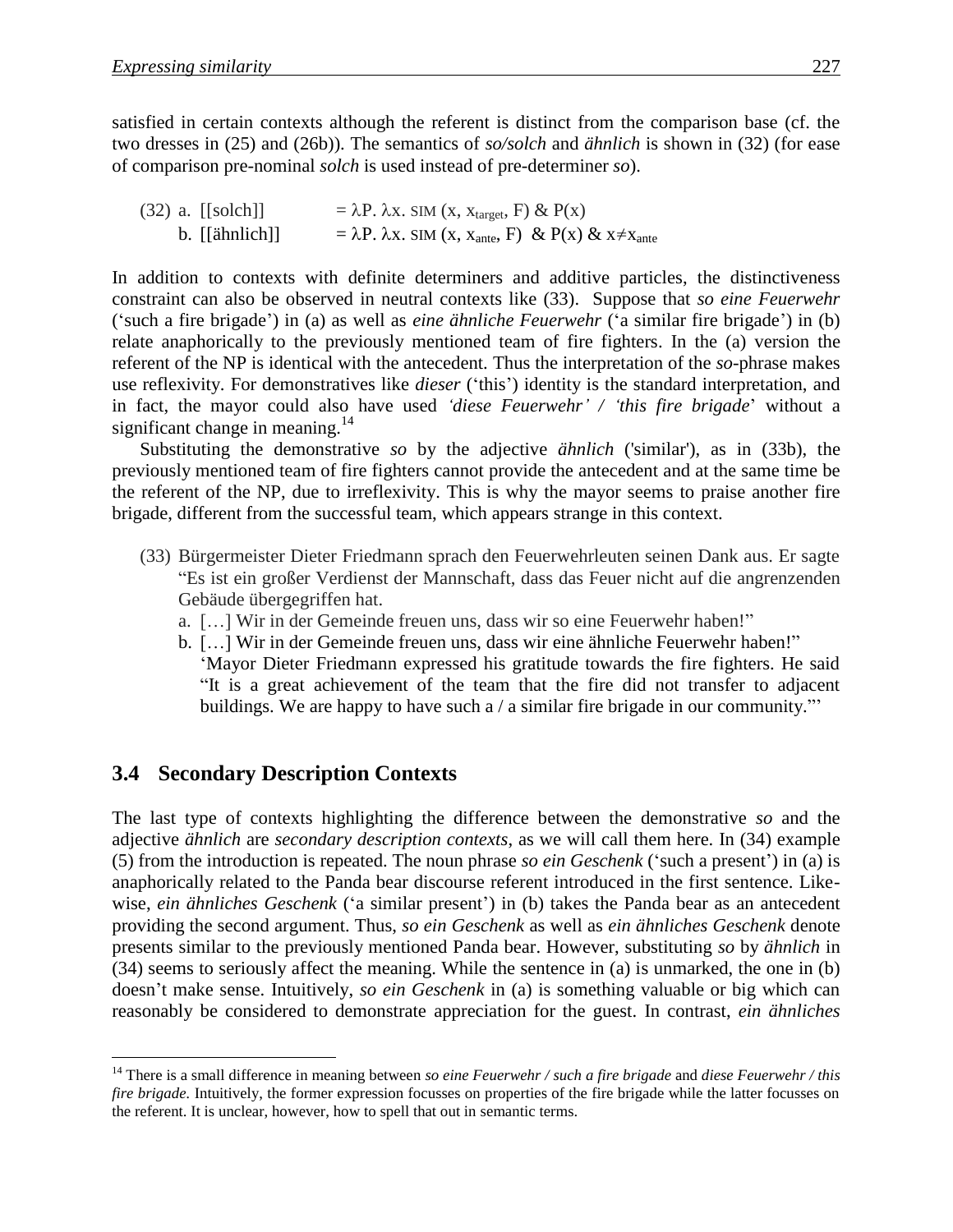satisfied in certain contexts although the referent is distinct from the comparison base (cf. the two dresses in (25) and (26b)). The semantics of *so/solch* and *ähnlich* is shown in (32) (for ease of comparison pre-nominal *solch* is used instead of pre-determiner *so*).

(32) a.  $[ [solch]] = \lambda P \cdot \lambda x \cdot \text{SIM (x, x<sub>target</sub>, F) & P(x)]$ b. [[ähnlich]]  $= \lambda P \cdot \lambda x \cdot \text{SIM (x, x_{\text{ante}}, F) \& P(x) \& x \neq x_{\text{ante}}$ 

In addition to contexts with definite determiners and additive particles, the distinctiveness constraint can also be observed in neutral contexts like (33). Suppose that *so eine Feuerwehr* ('such a fire brigade') in (a) as well as *eine ähnliche Feuerwehr* ('a similar fire brigade') in (b) relate anaphorically to the previously mentioned team of fire fighters. In the (a) version the referent of the NP is identical with the antecedent. Thus the interpretation of the *so*-phrase makes use reflexivity. For demonstratives like *dieser* ('this') identity is the standard interpretation, and in fact, the mayor could also have used *'diese Feuerwehr' / 'this fire brigade*' without a significant change in meaning. $14$ 

Substituting the demonstrative *so* by the adjective *ähnlich* ('similar'), as in (33b), the previously mentioned team of fire fighters cannot provide the antecedent and at the same time be the referent of the NP, due to irreflexivity. This is why the mayor seems to praise another fire brigade, different from the successful team, which appears strange in this context.

- (33) Bürgermeister Dieter Friedmann sprach den Feuerwehrleuten seinen Dank aus. Er sagte "Es ist ein großer Verdienst der Mannschaft, dass das Feuer nicht auf die angrenzenden Gebäude übergegriffen hat.
	- a. […] Wir in der Gemeinde freuen uns, dass wir so eine Feuerwehr haben!"
	- b. […] Wir in der Gemeinde freuen uns, dass wir eine ähnliche Feuerwehr haben!" 'Mayor Dieter Friedmann expressed his gratitude towards the fire fighters. He said "It is a great achievement of the team that the fire did not transfer to adjacent buildings. We are happy to have such a / a similar fire brigade in our community."'

#### **3.4 Secondary Description Contexts**

 $\overline{a}$ 

The last type of contexts highlighting the difference between the demonstrative *so* and the adjective *ähnlich* are *secondary description contexts*, as we will call them here. In (34) example (5) from the introduction is repeated. The noun phrase *so ein Geschenk* ('such a present') in (a) is anaphorically related to the Panda bear discourse referent introduced in the first sentence. Likewise, *ein ähnliches Geschenk* ('a similar present') in (b) takes the Panda bear as an antecedent providing the second argument. Thus, *so ein Geschenk* as well as *ein ähnliches Geschenk* denote presents similar to the previously mentioned Panda bear. However, substituting *so* by *ähnlich* in (34) seems to seriously affect the meaning. While the sentence in (a) is unmarked, the one in (b) doesn't make sense. Intuitively, *so ein Geschenk* in (a) is something valuable or big which can reasonably be considered to demonstrate appreciation for the guest. In contrast, *ein ähnliches* 

<sup>14</sup> There is a small difference in meaning between *so eine Feuerwehr / such a fire brigade* and *diese Feuerwehr / this fire brigade*. Intuitively, the former expression focusses on properties of the fire brigade while the latter focusses on the referent. It is unclear, however, how to spell that out in semantic terms.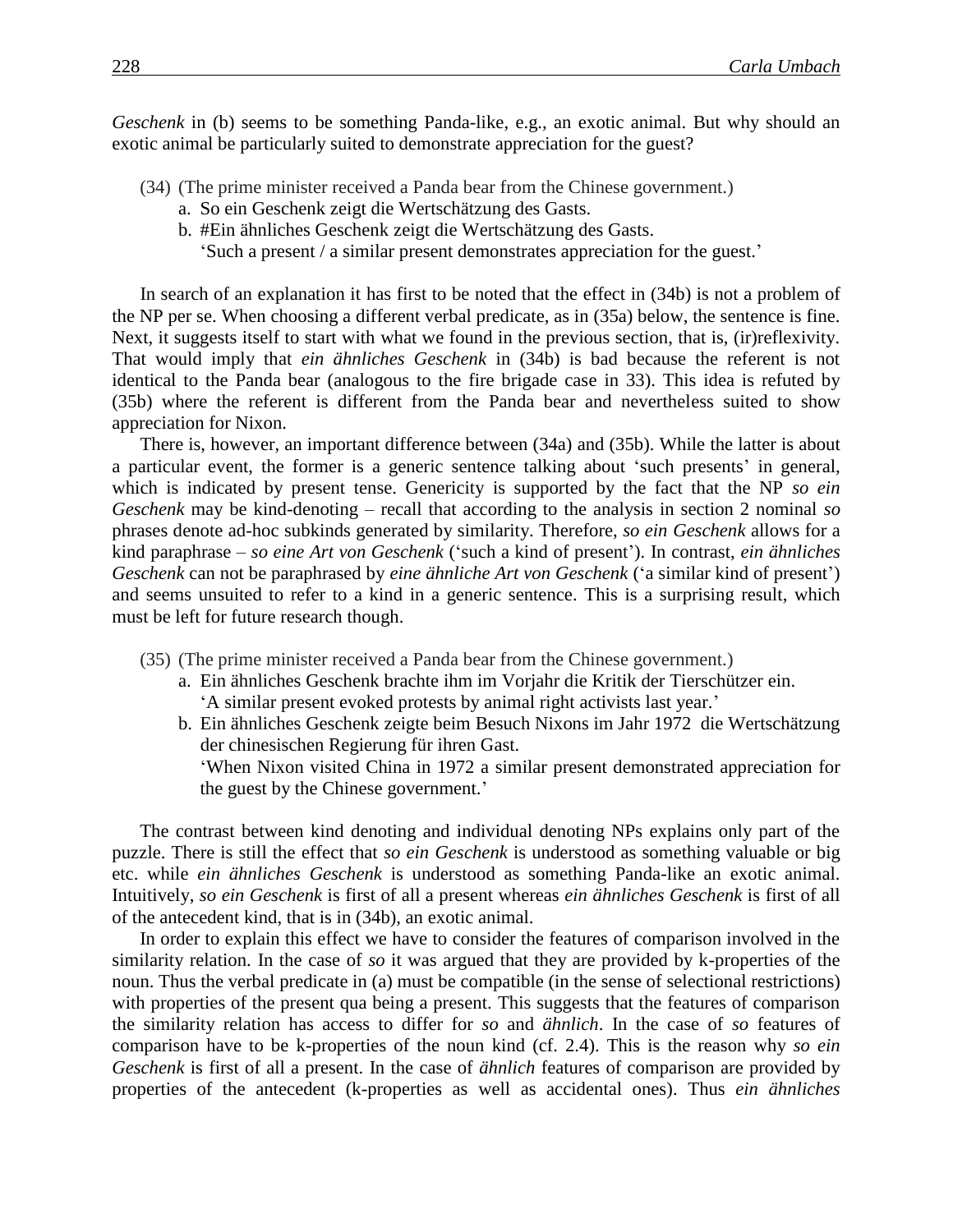*Geschenk* in (b) seems to be something Panda-like, e.g., an exotic animal. But why should an exotic animal be particularly suited to demonstrate appreciation for the guest?

- (34) (The prime minister received a Panda bear from the Chinese government.)
	- a. So ein Geschenk zeigt die Wertschätzung des Gasts.
	- b. #Ein ähnliches Geschenk zeigt die Wertschätzung des Gasts.
		- 'Such a present / a similar present demonstrates appreciation for the guest.'

In search of an explanation it has first to be noted that the effect in (34b) is not a problem of the NP per se. When choosing a different verbal predicate, as in (35a) below, the sentence is fine. Next, it suggests itself to start with what we found in the previous section, that is, (ir)reflexivity. That would imply that *ein ähnliches Geschenk* in (34b) is bad because the referent is not identical to the Panda bear (analogous to the fire brigade case in 33). This idea is refuted by (35b) where the referent is different from the Panda bear and nevertheless suited to show appreciation for Nixon.

There is, however, an important difference between (34a) and (35b). While the latter is about a particular event, the former is a generic sentence talking about 'such presents' in general, which is indicated by present tense. Genericity is supported by the fact that the NP *so ein Geschenk* may be kind-denoting – recall that according to the analysis in section 2 nominal *so* phrases denote ad-hoc subkinds generated by similarity. Therefore, *so ein Geschenk* allows for a kind paraphrase – *so eine Art von Geschenk* ('such a kind of present'). In contrast, *ein ähnliches Geschenk* can not be paraphrased by *eine ähnliche Art von Geschenk* ('a similar kind of present') and seems unsuited to refer to a kind in a generic sentence. This is a surprising result, which must be left for future research though.

- (35) (The prime minister received a Panda bear from the Chinese government.)
	- a. Ein ähnliches Geschenk brachte ihm im Vorjahr die Kritik der Tierschützer ein. 'A similar present evoked protests by animal right activists last year.'
	- b. Ein ähnliches Geschenk zeigte beim Besuch Nixons im Jahr 1972 die Wertschätzung der chinesischen Regierung für ihren Gast.
		- 'When Nixon visited China in 1972 a similar present demonstrated appreciation for the guest by the Chinese government.'

The contrast between kind denoting and individual denoting NPs explains only part of the puzzle. There is still the effect that *so ein Geschenk* is understood as something valuable or big etc. while *ein ähnliches Geschenk* is understood as something Panda-like an exotic animal. Intuitively, *so ein Geschenk* is first of all a present whereas *ein ähnliches Geschenk* is first of all of the antecedent kind, that is in (34b), an exotic animal.

In order to explain this effect we have to consider the features of comparison involved in the similarity relation. In the case of *so* it was argued that they are provided by k-properties of the noun. Thus the verbal predicate in (a) must be compatible (in the sense of selectional restrictions) with properties of the present qua being a present. This suggests that the features of comparison the similarity relation has access to differ for *so* and *ähnlich*. In the case of *so* features of comparison have to be k-properties of the noun kind (cf. 2.4). This is the reason why *so ein Geschenk* is first of all a present. In the case of *ähnlich* features of comparison are provided by properties of the antecedent (k-properties as well as accidental ones). Thus *ein ähnliches*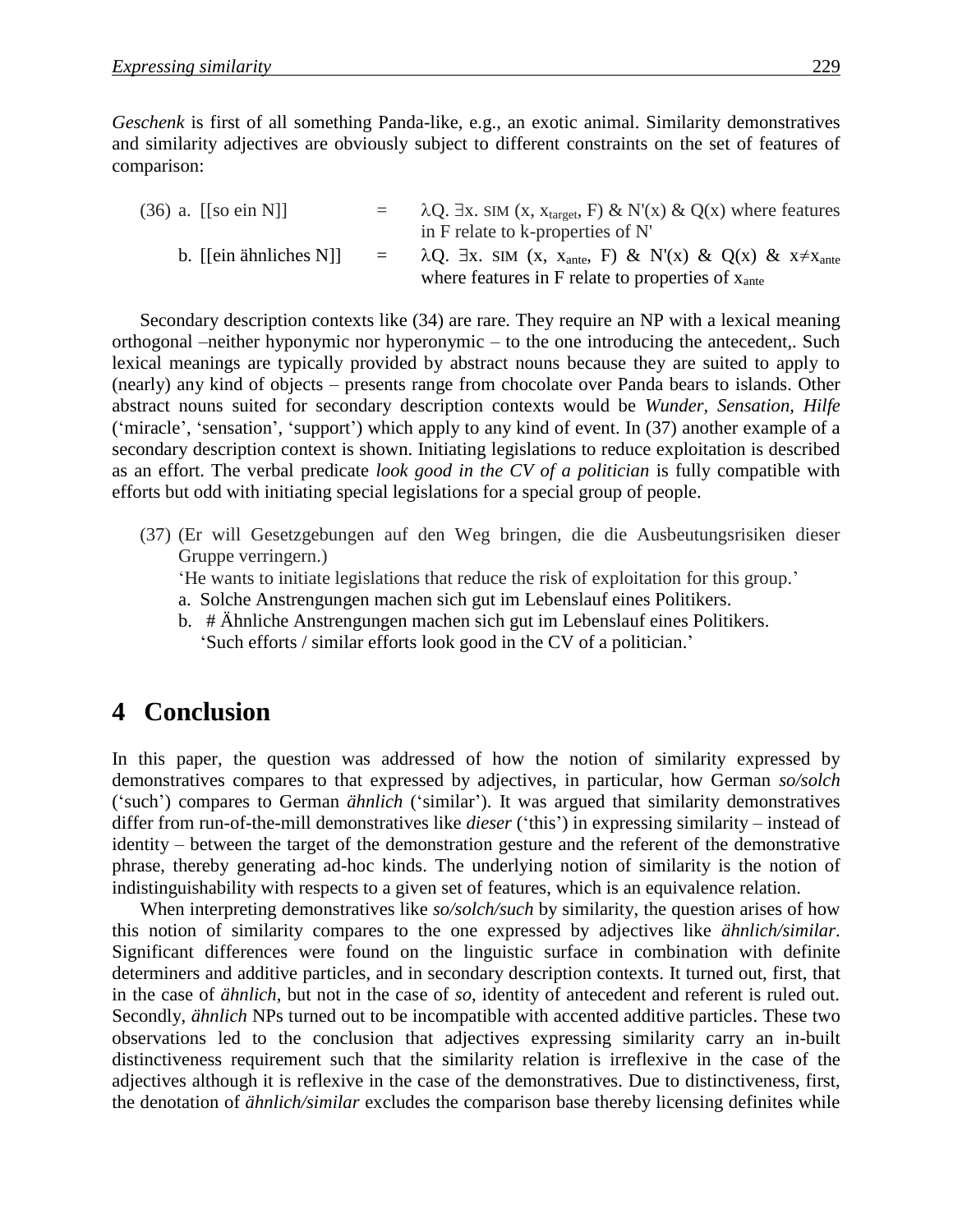*Geschenk* is first of all something Panda-like, e.g., an exotic animal. Similarity demonstratives and similarity adjectives are obviously subject to different constraints on the set of features of comparison:

| $(36)$ a. [[so ein N]] |          | $\lambda$ Q. Ex. SIM (x, x <sub>target</sub> , F) & N'(x) & Q(x) where features<br>in F relate to k-properties of N'                                          |
|------------------------|----------|---------------------------------------------------------------------------------------------------------------------------------------------------------------|
| b. [[ein ähnliches N]] | $\equiv$ | $\lambda Q$ . Ex. SIM (x, x <sub>ante</sub> , F) & N'(x) & Q(x) & x $\neq$ x <sub>ante</sub><br>where features in F relate to properties of $x_{\text{ante}}$ |

Secondary description contexts like (34) are rare. They require an NP with a lexical meaning orthogonal –neither hyponymic nor hyperonymic – to the one introducing the antecedent,. Such lexical meanings are typically provided by abstract nouns because they are suited to apply to (nearly) any kind of objects – presents range from chocolate over Panda bears to islands. Other abstract nouns suited for secondary description contexts would be *Wunder, Sensation, Hilfe* ('miracle', 'sensation', 'support') which apply to any kind of event. In (37) another example of a secondary description context is shown. Initiating legislations to reduce exploitation is described as an effort. The verbal predicate *look good in the CV of a politician* is fully compatible with efforts but odd with initiating special legislations for a special group of people.

(37) (Er will Gesetzgebungen auf den Weg bringen, die die Ausbeutungsrisiken dieser Gruppe verringern.)

'He wants to initiate legislations that reduce the risk of exploitation for this group.'

- a. Solche Anstrengungen machen sich gut im Lebenslauf eines Politikers.
- b. # Ähnliche Anstrengungen machen sich gut im Lebenslauf eines Politikers. 'Such efforts / similar efforts look good in the CV of a politician.'

## 4 **Conclusion**

In this paper, the question was addressed of how the notion of similarity expressed by demonstratives compares to that expressed by adjectives, in particular, how German *so/solch* ('such') compares to German *ähnlich* ('similar'). It was argued that similarity demonstratives differ from run-of-the-mill demonstratives like *dieser* ('this') in expressing similarity – instead of identity – between the target of the demonstration gesture and the referent of the demonstrative phrase, thereby generating ad-hoc kinds. The underlying notion of similarity is the notion of indistinguishability with respects to a given set of features, which is an equivalence relation.

When interpreting demonstratives like *so/solch/such* by similarity, the question arises of how this notion of similarity compares to the one expressed by adjectives like *ähnlich/similar*. Significant differences were found on the linguistic surface in combination with definite determiners and additive particles, and in secondary description contexts. It turned out, first, that in the case of *ähnlich*, but not in the case of *so*, identity of antecedent and referent is ruled out. Secondly, *ähnlich* NPs turned out to be incompatible with accented additive particles. These two observations led to the conclusion that adjectives expressing similarity carry an in-built distinctiveness requirement such that the similarity relation is irreflexive in the case of the adjectives although it is reflexive in the case of the demonstratives. Due to distinctiveness, first, the denotation of *ähnlich/similar* excludes the comparison base thereby licensing definites while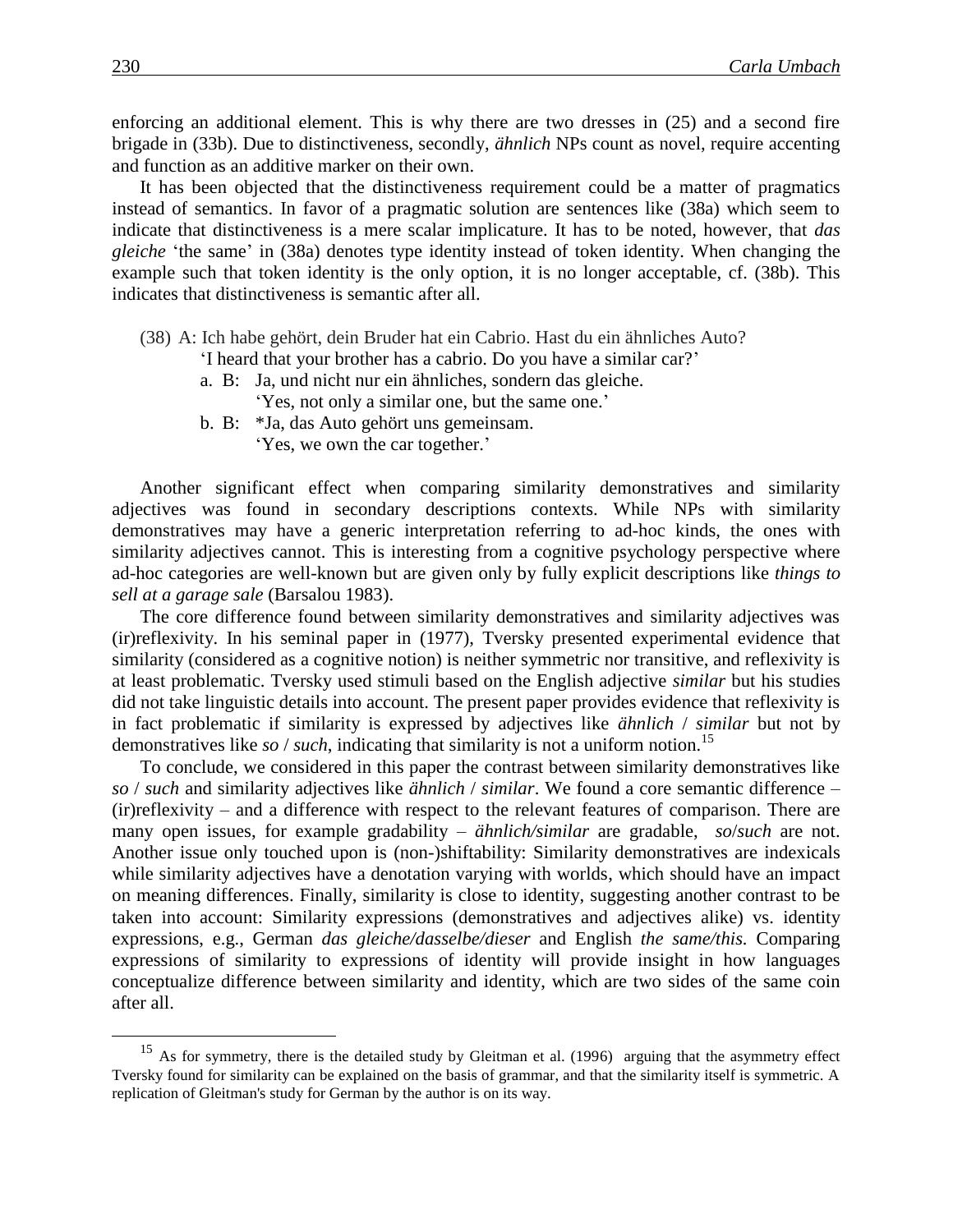enforcing an additional element. This is why there are two dresses in (25) and a second fire brigade in (33b). Due to distinctiveness, secondly, *ähnlich* NPs count as novel, require accenting and function as an additive marker on their own.

It has been objected that the distinctiveness requirement could be a matter of pragmatics instead of semantics. In favor of a pragmatic solution are sentences like (38a) which seem to indicate that distinctiveness is a mere scalar implicature. It has to be noted, however, that *das gleiche* 'the same' in (38a) denotes type identity instead of token identity. When changing the example such that token identity is the only option, it is no longer acceptable, cf. (38b). This indicates that distinctiveness is semantic after all.

(38) A: Ich habe gehört, dein Bruder hat ein Cabrio. Hast du ein ähnliches Auto?

'I heard that your brother has a cabrio. Do you have a similar car?'

- a. B: Ja, und nicht nur ein ähnliches, sondern das gleiche.
	- 'Yes, not only a similar one, but the same one.'
- b. B: \*Ja, das Auto gehört uns gemeinsam.

'Yes, we own the car together.'

Another significant effect when comparing similarity demonstratives and similarity adjectives was found in secondary descriptions contexts. While NPs with similarity demonstratives may have a generic interpretation referring to ad-hoc kinds, the ones with similarity adjectives cannot. This is interesting from a cognitive psychology perspective where ad-hoc categories are well-known but are given only by fully explicit descriptions like *things to sell at a garage sale* (Barsalou 1983).

The core difference found between similarity demonstratives and similarity adjectives was (ir)reflexivity. In his seminal paper in (1977), Tversky presented experimental evidence that similarity (considered as a cognitive notion) is neither symmetric nor transitive, and reflexivity is at least problematic. Tversky used stimuli based on the English adjective *similar* but his studies did not take linguistic details into account. The present paper provides evidence that reflexivity is in fact problematic if similarity is expressed by adjectives like *ähnlich* / *similar* but not by demonstratives like *so / such*, indicating that similarity is not a uniform notion.<sup>15</sup>

To conclude, we considered in this paper the contrast between similarity demonstratives like *so* / *such* and similarity adjectives like *ähnlich* / *similar*. We found a core semantic difference – (ir)reflexivity – and a difference with respect to the relevant features of comparison. There are many open issues, for example gradability – *ähnlich/similar* are gradable, *so*/*such* are not. Another issue only touched upon is (non-)shiftability: Similarity demonstratives are indexicals while similarity adjectives have a denotation varying with worlds, which should have an impact on meaning differences. Finally, similarity is close to identity, suggesting another contrast to be taken into account: Similarity expressions (demonstratives and adjectives alike) vs. identity expressions, e.g., German *das gleiche/dasselbe/dieser* and English *the same/this.* Comparing expressions of similarity to expressions of identity will provide insight in how languages conceptualize difference between similarity and identity, which are two sides of the same coin after all.

 $\overline{a}$ 

<sup>&</sup>lt;sup>15</sup> As for symmetry, there is the detailed study by Gleitman et al. (1996) arguing that the asymmetry effect Tversky found for similarity can be explained on the basis of grammar, and that the similarity itself is symmetric. A replication of Gleitman's study for German by the author is on its way.